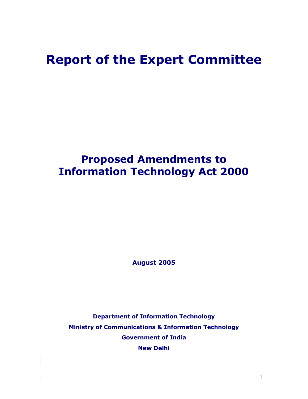# **Report of the Expert Committee**

# **Proposed Amendments to Information Technology Act 2000**

**August 2005**

**Department of Information Technology Ministry of Communications & Information Technology Government of India New Delhi**

1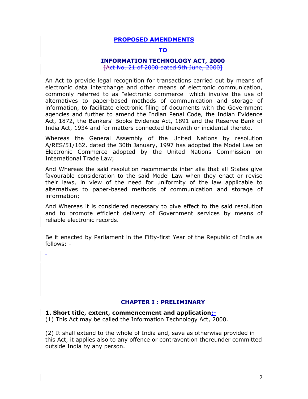## **PROPOSED AMENDMENTS**

#### **TO**

#### **INFORMATION TECHNOLOGY ACT, 2000**

[Act No. 21 of 2000 dated 9th June, 2000]

An Act to provide legal recognition for transactions carried out by means of electronic data interchange and other means of electronic communication, commonly referred to as "electronic commerce" which involve the use of alternatives to paper-based methods of communication and storage of information, to facilitate electronic filing of documents with the Government agencies and further to amend the Indian Penal Code, the Indian Evidence Act, 1872, the Bankers' Books Evidence Act, 1891 and the Reserve Bank of India Act, 1934 and for matters connected therewith or incidental thereto.

Whereas the General Assembly of the United Nations by resolution A/RES/51/162, dated the 30th January, 1997 has adopted the Model Law on Electronic Commerce adopted by the United Nations Commission on International Trade Law;

And Whereas the said resolution recommends inter alia that all States give favourable consideration to the said Model Law when they enact or revise their laws, in view of the need for uniformity of the law applicable to alternatives to paper-based methods of communication and storage of information;

And Whereas it is considered necessary to give effect to the said resolution and to promote efficient delivery of Government services by means of reliable electronic records.

Be it enacted by Parliament in the Fifty-first Year of the Republic of India as follows: -

#### **CHAPTER I : PRELIMINARY**

#### **1. Short title, extent, commencement and application:-**

(1) This Act may be called the Information Technology Act, 2000.

(2) It shall extend to the whole of India and, save as otherwise provided in this Act, it applies also to any offence or contravention thereunder committed outside India by any person.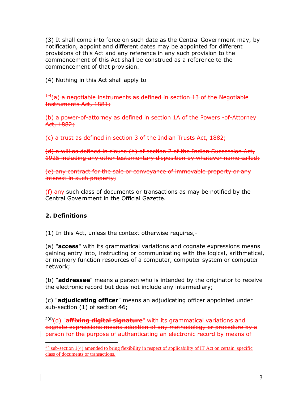(3) It shall come into force on such date as the Central Government may, by notification, appoint and different dates may be appointed for different provisions of this Act and any reference in any such provision to the commencement of this Act shall be construed as a reference to the commencement of that provision.

(4) Nothing in this Act shall apply to

 $^{1.4}$ (a) a negotiable instruments as defined in section 13 of the Negotiable Instruments Act, 1881;

(b) a power-of-attorney as defined in section 1A of the Powers -of-Attorney Act, 1882;

(c) a trust as defined in section 3 of the Indian Trusts Act, 1882;

(d) a will as defined in clause (h) of section 2 of the Indian Succession Act, 1925 including any other testamentary disposition by whatever name called;

(e) any contract for the sale or conveyance of immovable property or any interest in such property;

 $(f)$  any such class of documents or transactions as may be notified by the Central Government in the Official Gazette.

# **2. Definitions**

(1) In this Act, unless the context otherwise requires,-

(a) "**access**" with its grammatical variations and cognate expressions means gaining entry into, instructing or communicating with the logical, arithmetical, or memory function resources of a computer, computer system or computer network;

(b) "**addressee**" means a person who is intended by the originator to receive the electronic record but does not include any intermediary;

(c) "**adjudicating officer**" means an adjudicating officer appointed under sub-section (1) of section 46;

<sup>2(d)</sup>(d) "affixing digital signature" with its grammatical variations and cognate expressions means adoption of any methodology or procedure by a person for the purpose of authenticating an electronic record by means of

 $\overline{a}$  $14$  sub-section 1(4) amended to bring flexibility in respect of applicability of IT Act on certain specific class of documents or transactions.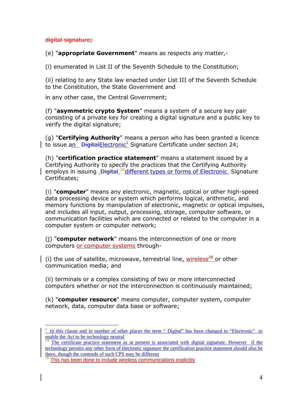#### digital signature;

 $\overline{a}$ 

(e) "**appropriate Government**" means as respects any matter,-

(i) enumerated in List II of the Seventh Schedule to the Constitution;

(ii) relating to any State law enacted under List III of the Seventh Schedule to the Constitution, the State Government and

in any other case, the Central Government;

(f) "**asymmetric crypto System**" means a system of a secure key pair consisting of a private key for creating a digital signature and a public key to verify the digital signature;

(g) "**Certifying Authority**" means a person who has been granted a licence to issue an <del>DigitalElectronic<sup>1</sup></del> Signature Certificate under section 24;

(h) "**certification practice statement**" means a statement issued by a Certifying Authority to specify the practices that the Certifying Authority employs in issuing *Digital* <sup>2A</sup>different types or forms of Electronic Signature Certificates;

(i) "**computer**" means any electronic, magnetic, optical or other high-speed data processing device or system which performs logical, arithmetic, and memory functions by manipulation of electronic, magnetic or optical impulses, and includes all input, output, processing, storage, computer software, or communication facilities which are connected or related to the computer in a computer system or computer network;

(j) "**computer network**" means the interconnection of one or more computers or computer systems through-

(i) the use of satellite, microwave, terrestrial line, wireless<sup>2B</sup> or other communication media; and

(ii) terminals or a complex consisting of two or more interconnected computers whether or not the interconnection is continuously maintained;

(k) "**computer resource**" means computer, computer system, computer network, data, computer data base or software;

<sup>&</sup>lt;sup>1</sup> In this clause and in number of other places the term " Digital" has been changed to "Electronic" to enable the Act to be technology neutral

<sup>&</sup>lt;sup>2A</sup> The certificate practice statement as at present is associated with digital signature. However if the technology permits any other form of electronic signature the certification practice statement should also be there, though the contends of such CPS may be different

This has been done to include wireless communications explicitly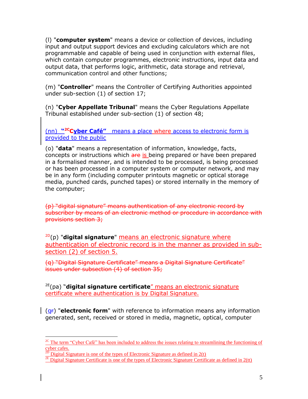(l) "**computer system**" means a device or collection of devices, including input and output support devices and excluding calculators which are not programmable and capable of being used in conjunction with external files, which contain computer programmes, electronic instructions, input data and output data, that performs logic, arithmetic, data storage and retrieval, communication control and other functions;

(m) "**Controller**" means the Controller of Certifying Authorities appointed under sub-section (1) of section 17;

(n) "**Cyber Appellate Tribunal**" means the Cyber Regulations Appellate Tribunal established under sub-section (1) of section 48;

(nn) **" 2CCyber Café"** means a place where access to electronic form is provided to the public

(o) "**data**" means a representation of information, knowledge, facts, concepts or instructions which are is being prepared or have been prepared in a formalised manner, and is intended to be processed, is being processed or has been processed in a computer system or computer network, and may be in any form (including computer printouts magnetic or optical storage media, punched cards, punched tapes) or stored internally in the memory of the computer;

(p) "digital signature" means authentication of any electronic record by subscriber by means of an electronic method or procedure in accordance with provisions section 3;

2D(p) "**digital signature**" means an electronic signature where authentication of electronic record is in the manner as provided in subsection (2) of section 5.

(q) "Digital Signature Certificate" means a Digital Signature Certificate" issues under subsection (4) of section 35;

2E(pa) "**digital signature certificate**" means an electronic signature certificate where authentication is by Digital Signature.

(qr) "**electronic form**" with reference to information means any information generated, sent, received or stored in media, magnetic, optical, computer

<sup>&</sup>lt;sup>2C</sup> The term "Cyber Café" has been included to address the issues relating to streamlining the functioning of cyber cafes.

 $\overline{2D}$  Digital Signature is one of the types of Electronic Signature as defined in 2(t)

<sup>&</sup>lt;sup>2E</sup> Digital Signature Certificate is one of the types of Electronic Signature Certificate as defined in  $2(tt)$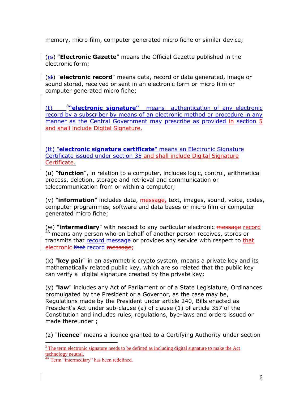memory, micro film, computer generated micro fiche or similar device;

(rs) "**Electronic Gazette**" means the Official Gazette published in the electronic form;

( $\frac{1}{s}$ ) "**electronic record**" means data, record or data generated, image or sound stored, received or sent in an electronic form or micro film or computer generated micro fiche;

(t) **3 "electronic signature"** means authentication of any electronic record by a subscriber by means of an electronic method or procedure in any manner as the Central Government may prescribe as provided in section 5 and shall include Digital Signature.

(tt) "**electronic signature certificate**" means an Electronic Signature Certificate issued under section 35 and shall include Digital Signature Certificate.

(u) "**function**", in relation to a computer, includes logic, control, arithmetical process, deletion, storage and retrieval and communication or telecommunication from or within a computer;

(v) "**information**" includes data, message, text, images, sound, voice, codes, computer programmes, software and data bases or micro film or computer generated micro fiche;

(w) "**intermediary**" with respect to any particular electronic message record <sup>4A</sup> means any person who on behalf of another person receives, stores or transmits that record message or provides any service with respect to that electronic that record message;

(x) "**key pair**" in an asymmetric crypto system, means a private key and its mathematically related public key, which are so related that the public key can verify a digital signature created by the private key;

(y) "**law**" includes any Act of Parliament or of a State Legislature, Ordinances promulgated by the President or a Governor, as the case may be, Regulations made by the President under article 240, Bills enacted as President's Act under sub-clause (a) of clause (1) of article 357 of the Constitution and includes rules, regulations, bye-laws and orders issued or made thereunder ;

(z) "**licence**" means a licence granted to a Certifying Authority under section

 $\overline{a}$  $3$  The term electronic signature needs to be defined as including digital signature to make the Act technology neutral.

<sup>&</sup>lt;sup>4A</sup> Term "intermediary" has been redefined.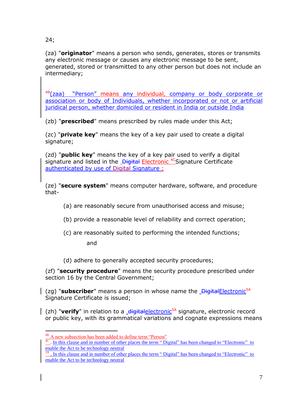24;

(za) "**originator**" means a person who sends, generates, stores or transmits any electronic message or causes any electronic message to be sent, generated, stored or transmitted to any other person but does not include an intermediary;

<sup>4B</sup>(zaa) "Person" means any individual, company or body corporate or association or body of Individuals, whether incorporated or not or artificial juridical person, whether domiciled or resident in India or outside India

(zb) "**prescribed**" means prescribed by rules made under this Act;

(zc) "**private key**" means the key of a key pair used to create a digital signature;

(zd) "**public key**" means the key of a key pair used to verify a digital signature and listed in the *Digital Electronic* <sup>4C</sup>Signature Certificate authenticated by use of Digital Signature ;

(ze) "**secure system**" means computer hardware, software, and procedure that-

- (a) are reasonably secure from unauthorised access and misuse;
- (b) provide a reasonable level of reliability and correct operation;
- (c) are reasonably suited to performing the intended functions;

and

(d) adhere to generally accepted security procedures;

(zf) "**security procedure**" means the security procedure prescribed under section 16 by the Central Government;

(zg) "**subscriber**" means a person in whose name the **DigitalElectronic**<sup>5A</sup> Signature Certificate is issued;

(zh) "verify" in relation to a digitalelectronic<sup>5A</sup> signature, electronic record or public key, with its grammatical variations and cognate expressions means

 $\overline{a}$ <sup>4B</sup> A new subsection has been added to define term "Person"

<sup>&</sup>lt;sup>4C</sup>. In this clause and in number of other places the term "Digital" has been changed to "Electronic" to enable the Act to be technology neutral<br><sup>5A</sup>. In this clause and in number of other places the term "Digital" has been changed to "Electronic" to

enable the Act to be technology neutral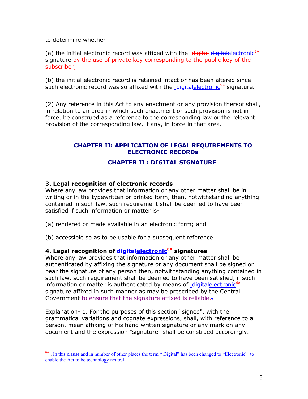to determine whether-

 $\overline{a}$ 

(a) the initial electronic record was affixed with the digital digitalelectronic<sup>5A</sup> signature by the use of private key corresponding to the public key of the subscriber;

(b) the initial electronic record is retained intact or has been altered since such electronic record was so affixed with the  $diq$  digital electronic<sup>5A</sup> signature.

(2) Any reference in this Act to any enactment or any provision thereof shall, in relation to an area in which such enactment or such provision is not in force, be construed as a reference to the corresponding law or the relevant provision of the corresponding law, if any, in force in that area.

## **CHAPTER II: APPLICATION OF LEGAL REQUIREMENTS TO ELECTRONIC RECORDs**

## **CHAPTER II : DIGITAL SIGNATURE**

## **3. Legal recognition of electronic records**

Where any law provides that information or any other matter shall be in writing or in the typewritten or printed form, then, notwithstanding anything contained in such law, such requirement shall be deemed to have been satisfied if such information or matter is-

(a) rendered or made available in an electronic form; and

(b) accessible so as to be usable for a subsequent reference.

## **4. Legal recognition of digitalelectronic6A signatures**

Where any law provides that information or any other matter shall be authenticated by affixing the signature or any document shall be signed or bear the signature of any person then, notwithstanding anything contained in such law, such requirement shall be deemed to have been satisfied, if such information or matter is authenticated by means of digitalelectronic<sup>6A</sup> signature affixed in such manner as may be prescribed by the Central Government to ensure that the signature affixed is reliable.

Explanation- 1. For the purposes of this section "signed", with the grammatical variations and cognate expressions, shall, with reference to a person, mean affixing of his hand written signature or any mark on any document and the expression "signature" shall be construed accordingly.

<sup>&</sup>lt;sup>6A</sup>. In this clause and in number of other places the term "Digital" has been changed to "Electronic" to enable the Act to be technology neutral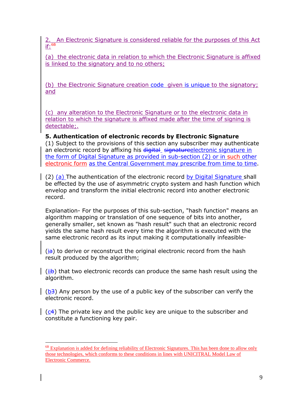2. An Electronic Signature is considered reliable for the purposes of this Act if:6B

(a) the electronic data in relation to which the Electronic Signature is affixed is linked to the signatory and to no others;

(b) the Electronic Signature creation code given is unique to the signatory; and

(c) any alteration to the Electronic Signature or to the electronic data in relation to which the signature is affixed made after the time of signing is detectable;.

# **5. Authentication of electronic records by Electronic Signature**

(1) Subject to the provisions of this section any subscriber may authenticate an electronic record by affixing his digital signatureelectronic signature in the form of Digital Signature as provided in sub-section (2) or in such other electronic form as the Central Government may prescribe from time to time.

(2) (a) The authentication of the electronic record by Digital Signature shall be effected by the use of asymmetric crypto system and hash function which envelop and transform the initial electronic record into another electronic record.

Explanation- For the purposes of this sub-section, "hash function" means an algorithm mapping or translation of one sequence of bits into another, generally smaller, set known as "hash result" such that an electronic record yields the same hash result every time the algorithm is executed with the same electronic record as its input making it computationally infeasible-

 $(i_{\overline{\theta}})$  to derive or reconstruct the original electronic record from the hash result produced by the algorithm;

 $(iib)$  that two electronic records can produce the same hash result using the algorithm.

 $\mid$  (b3) Any person by the use of a public key of the subscriber can verify the electronic record.

 $\left( \frac{c}{4} \right)$  The private key and the public key are unique to the subscriber and constitute a functioning key pair.

 $\overline{a}$ <sup>6B</sup> Explanation is added for defining reliability of Electronic Signatures. This has been done to allow only those technologies, which conforms to these conditions in lines with UNICITRAL Model Law of Electronic Commerce.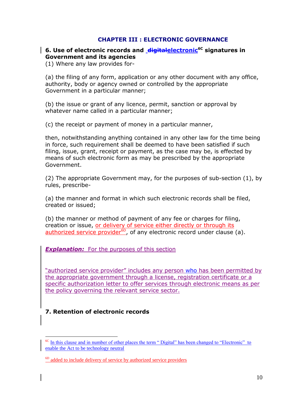## **CHAPTER III : ELECTRONIC GOVERNANCE**

## **6. Use of electronic records and digitalelectronic6C signatures in Government and its agencies**

(1) Where any law provides for-

(a) the filing of any form, application or any other document with any office, authority, body or agency owned or controlled by the appropriate Government in a particular manner;

(b) the issue or grant of any licence, permit, sanction or approval by whatever name called in a particular manner;

(c) the receipt or payment of money in a particular manner,

then, notwithstanding anything contained in any other law for the time being in force, such requirement shall be deemed to have been satisfied if such filing, issue, grant, receipt or payment, as the case may be, is effected by means of such electronic form as may be prescribed by the appropriate Government.

(2) The appropriate Government may, for the purposes of sub-section (1), by rules, prescribe-

(a) the manner and format in which such electronic records shall be filed, created or issued;

(b) the manner or method of payment of any fee or charges for filing, creation or issue, or delivery of service either directly or through its authorized service provider<sup>6D</sup>, of any electronic record under clause (a).

**Explanation:** For the purposes of this section

"authorized service provider" includes any person who has been permitted by the appropriate government through a license, registration certificate or a specific authorization letter to offer services through electronic means as per the policy governing the relevant service sector.

## **7. Retention of electronic records**

<sup>&</sup>lt;sup>6C</sup> In this clause and in number of other places the term " Digital" has been changed to "Electronic" to enable the Act to be technology neutral

<sup>&</sup>lt;sup>6D</sup> added to include delivery of service by authorized service providers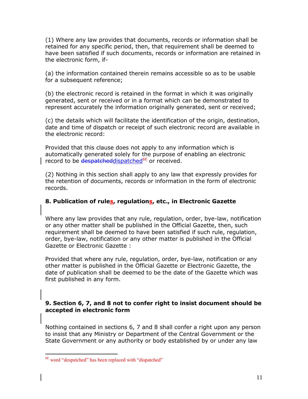(1) Where any law provides that documents, records or information shall be retained for any specific period, then, that requirement shall be deemed to have been satisfied if such documents, records or information are retained in the electronic form, if-

(a) the information contained therein remains accessible so as to be usable for a subsequent reference;

(b) the electronic record is retained in the format in which it was originally generated, sent or received or in a format which can be demonstrated to represent accurately the information originally generated, sent or received;

(c) the details which will facilitate the identification of the origin, destination, date and time of dispatch or receipt of such electronic record are available in the electronic record:

Provided that this clause does not apply to any information which is automatically generated solely for the purpose of enabling an electronic record to be despatched dispatched<sup>6E</sup> or received.

(2) Nothing in this section shall apply to any law that expressly provides for the retention of documents, records or information in the form of electronic records.

## **8. Publication of rules, regulations, etc., in Electronic Gazette**

Where any law provides that any rule, regulation, order, bye-law, notification or any other matter shall be published in the Official Gazette, then, such requirement shall be deemed to have been satisfied if such rule, regulation, order, bye-law, notification or any other matter is published in the Official Gazette or Electronic Gazette :

Provided that where any rule, regulation, order, bye-law, notification or any other matter is published in the Official Gazette or Electronic Gazette, the date of publication shall be deemed to be the date of the Gazette which was first published in any form.

## **9. Section 6, 7, and 8 not to confer right to insist document should be accepted in electronic form**

Nothing contained in sections 6, 7 and 8 shall confer a right upon any person to insist that any Ministry or Department of the Central Government or the State Government or any authority or body established by or under any law

<sup>6</sup>E word "despatched" has been replaced with "dispatched"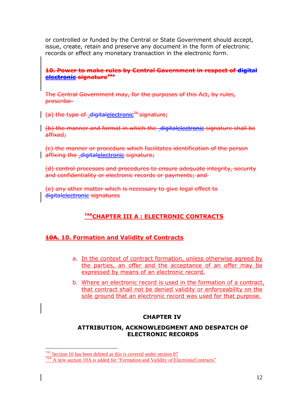or controlled or funded by the Central or State Government should accept, issue, create, retain and preserve any document in the form of electronic records or effect any monetary transaction in the electronic form.

## **10. Power to make rules by Central Government in respect of digital electronic signature7A1**

The Central Government may, for the purposes of this Act, by rules, prescribe-

 $\mid$  (a) the type of digitalelectronic<sup>7A</sup> signature;

(b) the manner and format in which the digitalelectronic signature shall be affixed;

(c) the manner or procedure which facilitates identification of the person affixing the digitalelectronic signature;

(d) control processes and procedures to ensure adequate integrity, security and confidentiality or electronic records or payments; and

(e) any other matter which is necessary to give legal effect to digitalelectronic signatures

# **7AACHAPTER III A : ELECTRONIC CONTRACTS**

# **10A. 10. Formation and Validity of Contracts**

- a. In the context of contract formation, unless otherwise agreed by the parties, an offer and the acceptance of an offer may be expressed by means of an electronic record.
- b. Where an electronic record is used in the formation of a contract, that contract shall not be denied validity or enforceability on the sole ground that an electronic record was used for that purpose.

# **CHAPTER IV**

## **ATTRIBUTION, ACKNOWLEDGMENT AND DESPATCH OF ELECTRONIC RECORDS**

<sup>&</sup>lt;sup>7A1</sup> Section 10 has been deleted as this is covered under section 87

<sup>7</sup>AA A new section 10A is added for "Formation and Validity of ElectronicContracts"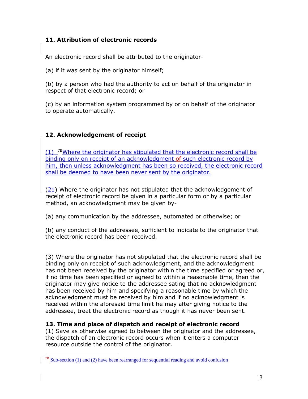# **11. Attribution of electronic records**

An electronic record shall be attributed to the originator-

(a) if it was sent by the originator himself;

(b) by a person who had the authority to act on behalf of the originator in respect of that electronic record; or

(c) by an information system programmed by or on behalf of the originator to operate automatically.

# **12. Acknowledgement of receipt**

 $(1)$  <sup>7B</sup>Where the originator has stipulated that the electronic record shall be binding only on receipt of an acknowledgment of such electronic record by him, then unless acknowledgment has been so received, the electronic record shall be deemed to have been never sent by the originator.

 $(2\pm)$  Where the originator has not stipulated that the acknowledgement of receipt of electronic record be given in a particular form or by a particular method, an acknowledgment may be given by-

(a) any communication by the addressee, automated or otherwise; or

(b) any conduct of the addressee, sufficient to indicate to the originator that the electronic record has been received.

(3) Where the originator has not stipulated that the electronic record shall be binding only on receipt of such acknowledgment, and the acknowledgment has not been received by the originator within the time specified or agreed or, if no time has been specified or agreed to within a reasonable time, then the originator may give notice to the addressee sating that no acknowledgment has been received by him and specifying a reasonable time by which the acknowledgment must be received by him and if no acknowledgment is received within the aforesaid time limit he may after giving notice to the addressee, treat the electronic record as though it has never been sent.

## **13. Time and place of dispatch and receipt of electronic record**

(1) Save as otherwise agreed to between the originator and the addressee, the dispatch of an electronic record occurs when it enters a computer resource outside the control of the originator.

 $7B$  Sub-section (1) and (2) have been rearranged for sequential reading and avoid confusion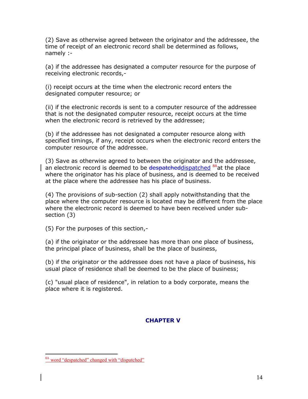(2) Save as otherwise agreed between the originator and the addressee, the time of receipt of an electronic record shall be determined as follows, namely :-

(a) if the addressee has designated a computer resource for the purpose of receiving electronic records,-

(i) receipt occurs at the time when the electronic record enters the designated computer resource; or

(ii) if the electronic records is sent to a computer resource of the addressee that is not the designated computer resource, receipt occurs at the time when the electronic record is retrieved by the addressee;

(b) if the addressee has not designated a computer resource along with specified timings, if any, receipt occurs when the electronic record enters the computer resource of the addressee.

(3) Save as otherwise agreed to between the originator and the addressee, an electronic record is deemed to be despatcheddispatched <sup>8A</sup>at the place where the originator has his place of business, and is deemed to be received at the place where the addressee has his place of business.

(4) The provisions of sub-section (2) shall apply notwithstanding that the place where the computer resource is located may be different from the place where the electronic record is deemed to have been received under subsection (3)

(5) For the purposes of this section,-

(a) if the originator or the addressee has more than one place of business, the principal place of business, shall be the place of business,

(b) if the originator or the addressee does not have a place of business, his usual place of residence shall be deemed to be the place of business;

(c) "usual place of residence", in relation to a body corporate, means the place where it is registered.

## **CHAPTER V**

<sup>&</sup>lt;sup>8A</sup> word "despatched" changed with "dispatched"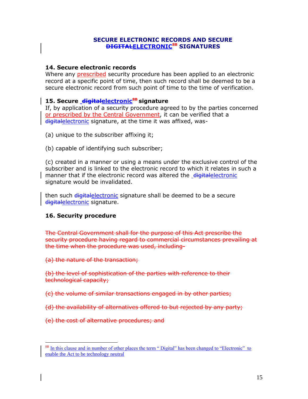#### **SECURE ELECTRONIC RECORDS AND SECURE DIGITALELECTRONIC8B SIGNATURES**

## **14. Secure electronic records**

Where any prescribed security procedure has been applied to an electronic record at a specific point of time, then such record shall be deemed to be a secure electronic record from such point of time to the time of verification.

#### **15. Secure digitalelectronic8B signature**

If, by application of a security procedure agreed to by the parties concerned or prescribed by the Central Government, it can be verified that a digitalelectronic signature, at the time it was affixed, was-

- (a) unique to the subscriber affixing it;
- (b) capable of identifying such subscriber;

(c) created in a manner or using a means under the exclusive control of the subscriber and is linked to the electronic record to which it relates in such a manner that if the electronic record was altered the digitalelectronic signature would be invalidated.

then such digitalelectronic signature shall be deemed to be a secure digitalelectronic signature.

## **16. Security procedure**

 $\overline{a}$ 

The Central Government shall for the purpose of this Act prescribe the security procedure having regard to commercial circumstances prevailing at the time when the procedure was used, including-

(a) the nature of the transaction;

(b) the level of sophistication of the parties with reference to their technological capacity;

(c) the volume of similar transactions engaged in by other parties;

(d) the availability of alternatives offered to but rejected by any party;

(e) the cost of alternative procedures; and

<sup>&</sup>lt;sup>8B</sup> In this clause and in number of other places the term " Digital" has been changed to "Electronic" to enable the Act to be technology neutral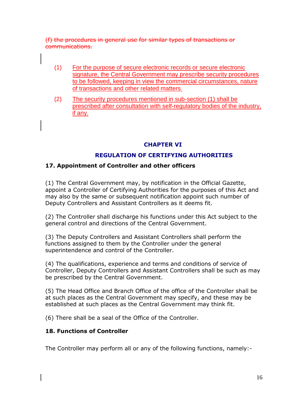(f) the procedures in general use for similar types of transactions or communications.

- (1) For the purpose of secure electronic records or secure electronic signature, the Central Government may prescribe security procedures to be followed, keeping in view the commercial circumstances, nature of transactions and other related matters.
- (2) The security procedures mentioned in sub-section (1) shall be prescribed after consultation with self-regulatory bodies of the industry, if any.

# **CHAPTER VI**

# **REGULATION OF CERTIFYING AUTHORITIES**

## **17. Appointment of Controller and other officers**

(1) The Central Government may, by notification in the Official Gazette, appoint a Controller of Certifying Authorities for the purposes of this Act and may also by the same or subsequent notification appoint such number of Deputy Controllers and Assistant Controllers as it deems fit.

(2) The Controller shall discharge his functions under this Act subject to the general control and directions of the Central Government.

(3) The Deputy Controllers and Assistant Controllers shall perform the functions assigned to them by the Controller under the general superintendence and control of the Controller.

(4) The qualifications, experience and terms and conditions of service of Controller, Deputy Controllers and Assistant Controllers shall be such as may be prescribed by the Central Government.

(5) The Head Office and Branch Office of the office of the Controller shall be at such places as the Central Government may specify, and these may be established at such places as the Central Government may think fit.

(6) There shall be a seal of the Office of the Controller.

## **18. Functions of Controller**

The Controller may perform all or any of the following functions, namely:-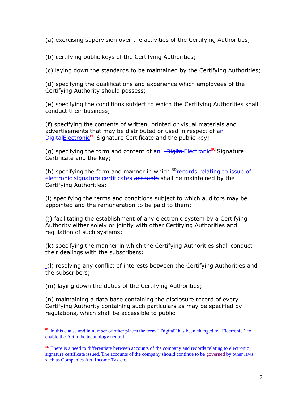(a) exercising supervision over the activities of the Certifying Authorities;

(b) certifying public keys of the Certifying Authorities;

(c) laying down the standards to be maintained by the Certifying Authorities;

(d) specifying the qualifications and experience which employees of the Certifying Authority should possess;

(e) specifying the conditions subject to which the Certifying Authorities shall conduct their business;

(f) specifying the contents of written, printed or visual materials and advertisements that may be distributed or used in respect of an  $DiqitalElectric<sup>8C</sup>$  Signature Certificate and the public key;

(g) specifying the form and content of an  $-\overline{$  DigitalElectronic<sup>8C</sup> Signature Certificate and the key;

(h) specifying the form and manner in which  ${}^{8D}$  records relating to issue of electronic signature certificates accounts shall be maintained by the Certifying Authorities;

(i) specifying the terms and conditions subject to which auditors may be appointed and the remuneration to be paid to them;

(j) facilitating the establishment of any electronic system by a Certifying Authority either solely or jointly with other Certifying Authorities and regulation of such systems;

(k) specifying the manner in which the Certifying Authorities shall conduct their dealings with the subscribers;

(l) resolving any conflict of interests between the Certifying Authorities and the subscribers;

(m) laying down the duties of the Certifying Authorities;

(n) maintaining a data base containing the disclosure record of every Certifying Authority containing such particulars as may be specified by regulations, which shall be accessible to public.

 $\overline{a}$ <sup>8C</sup> In this clause and in number of other places the term "Digital" has been changed to "Electronic" to enable the Act to be technology neutral

<sup>&</sup>lt;sup>8D</sup> There is a need to differentiate between accounts of the company and records relating to electronic signature certificate issued. The accounts of the company should continue to be governed by other laws such as Companies Act, Income Tax etc.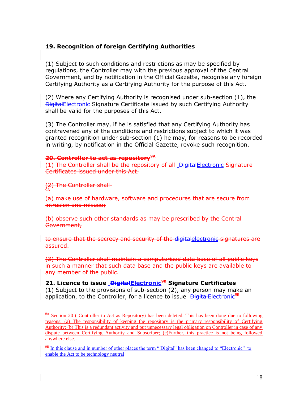## **19. Recognition of foreign Certifying Authorities**

(1) Subject to such conditions and restrictions as may be specified by regulations, the Controller may with the previous approval of the Central Government, and by notification in the Official Gazette, recognise any foreign Certifying Authority as a Certifying Authority for the purpose of this Act.

(2) Where any Certifying Authority is recognised under sub-section (1), the DigitalElectronic Signature Certificate issued by such Certifying Authority shall be valid for the purposes of this Act.

(3) The Controller may, if he is satisfied that any Certifying Authority has contravened any of the conditions and restrictions subject to which it was granted recognition under sub-section (1) he may, for reasons to be recorded in writing, by notification in the Official Gazette, revoke such recognition.

#### **20. Controller to act as repository9A**

(1) The Controller shall be the repository of all DigitalElectronic Signature Certificates issued under this Act.

(2) The Controller shall-9A

 $\overline{a}$ 

(a) make use of hardware, software and procedures that are secure from intrusion and misuse;

(b) observe such other standards as may be prescribed by the Central Government,

to ensure that the secrecy and security of the digitalelectronic signatures are assured.

(3) The Controller shall maintain a computerised data base of all public keys in such a manner that such data base and the public keys are available to any member of the public.

**21. Licence to issue DigitalElectronic9B Signature Certificates** (1) Subject to the provisions of sub-section (2), any person may make an application, to the Controller, for a licence to issue **DigitalElectronic<sup>9B</sup>** 

<sup>&</sup>lt;sup>9A</sup> Section 20 ( Controller to Act as Repository) has been deleted. This has been done due to following reasons: (a) The responsibility of keeping the repository is the primary responsibility of Certifying Authority; (b) This is a redundant activity and put unnecessary legal obligation on Controller in case of any dispute between Certifying Authority and Subscriber; (c)Further, this practice is not being followed anywhere else.

<sup>&</sup>lt;sup>9B</sup> In this clause and in number of other places the term " Digital" has been changed to "Electronic" to enable the Act to be technology neutral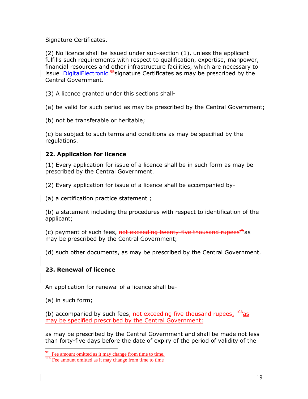Signature Certificates.

(2) No licence shall be issued under sub-section (1), unless the applicant fulfills such requirements with respect to qualification, expertise, manpower, financial resources and other infrastructure facilities, which are necessary to issue <del>Digital</del>Electronic <sup>9B</sup>signature Certificates as may be prescribed by the Central Government.

(3) A licence granted under this sections shall-

(a) be valid for such period as may be prescribed by the Central Government;

(b) not be transferable or heritable;

(c) be subject to such terms and conditions as may be specified by the regulations.

# **22. Application for licence**

(1) Every application for issue of a licence shall be in such form as may be prescribed by the Central Government.

(2) Every application for issue of a licence shall be accompanied by-

 $\vert$  (a) a certification practice statement;

(b) a statement including the procedures with respect to identification of the applicant;

(c) payment of such fees, <del>not exceeding twenty-five thousand rupees<sup>9C</sup>as</del> may be prescribed by the Central Government;

(d) such other documents, as may be prescribed by the Central Government.

# **23. Renewal of licence**

An application for renewal of a licence shall be-

(a) in such form;

 $\overline{a}$ 

(b) accompanied by such fees<del>, not exceeding five thousand rupees,  $^{10A}$ as</del> may be specified-prescribed by the Central Government;

as may be prescribed by the Central Government and shall be made not less than forty-five days before the date of expiry of the period of validity of the

<sup>&</sup>lt;sup>9C</sup> Fee amount omitted as it may change from time to time.

<sup>&</sup>lt;sup>10A</sup> Fee amount omitted as it may change from time to time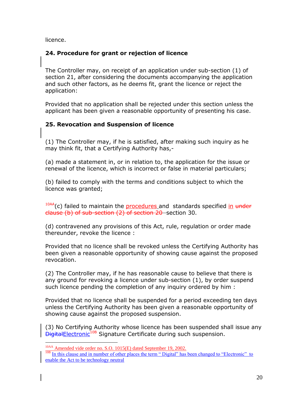licence.

# **24. Procedure for grant or rejection of licence**

The Controller may, on receipt of an application under sub-section (1) of section 21, after considering the documents accompanying the application and such other factors, as he deems fit, grant the licence or reject the application:

Provided that no application shall be rejected under this section unless the applicant has been given a reasonable opportunity of presenting his case.

# **25. Revocation and Suspension of licence**

(1) The Controller may, if he is satisfied, after making such inquiry as he may think fit, that a Certifying Authority has,-

(a) made a statement in, or in relation to, the application for the issue or renewal of the licence, which is incorrect or false in material particulars;

(b) failed to comply with the terms and conditions subject to which the licence was granted;

<sup>10AA</sup>(c) failed to maintain the procedures and standards specified in under clause (b) of sub-section (2) of section 20 section 30.

(d) contravened any provisions of this Act, rule, regulation or order made thereunder, revoke the licence :

Provided that no licence shall be revoked unless the Certifying Authority has been given a reasonable opportunity of showing cause against the proposed revocation.

(2) The Controller may, if he has reasonable cause to believe that there is any ground for revoking a licence under sub-section (1), by order suspend such licence pending the completion of any inquiry ordered by him :

Provided that no licence shall be suspended for a period exceeding ten days unless the Certifying Authority has been given a reasonable opportunity of showing cause against the proposed suspension.

(3) No Certifying Authority whose licence has been suspended shall issue any **DigitalElectronic<sup>10B</sup>** Signature Certificate during such suspension.

 $\overline{a}$ 10AA Amended vide order no. S.O. 1015(E) dated September 19, 2002.

<sup>&</sup>lt;sup>10B</sup> In this clause and in number of other places the term "Digital" has been changed to "Electronic" to enable the Act to be technology neutral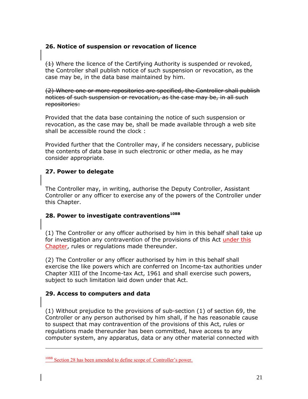## **26. Notice of suspension or revocation of licence**

 $(1)$  Where the licence of the Certifying Authority is suspended or revoked, the Controller shall publish notice of such suspension or revocation, as the case may be, in the data base maintained by him.

(2) Where one or more repositories are specified, the Controller shall publish notices of such suspension or revocation, as the case may be, in all such repositories:

Provided that the data base containing the notice of such suspension or revocation, as the case may be, shall be made available through a web site shall be accessible round the clock :

Provided further that the Controller may, if he considers necessary, publicise the contents of data base in such electronic or other media, as he may consider appropriate.

## **27. Power to delegate**

The Controller may, in writing, authorise the Deputy Controller, Assistant Controller or any officer to exercise any of the powers of the Controller under this Chapter.

## **28. Power to investigate contraventions10BB**

(1) The Controller or any officer authorised by him in this behalf shall take up for investigation any contravention of the provisions of this Act under this Chapter, rules or regulations made thereunder.

(2) The Controller or any officer authorised by him in this behalf shall exercise the like powers which are conferred on Income-tax authorities under Chapter XIII of the Income-tax Act, 1961 and shall exercise such powers, subject to such limitation laid down under that Act.

## **29. Access to computers and data**

 $\overline{a}$ 

(1) Without prejudice to the provisions of sub-section (1) of section 69, the Controller or any person authorised by him shall, if he has reasonable cause to suspect that may contravention of the provisions of this Act, rules or regulations made thereunder has been committed, have access to any computer system, any apparatus, data or any other material connected with

<sup>&</sup>lt;sup>10BB</sup> Section 28 has been amended to define scope of Controller's power.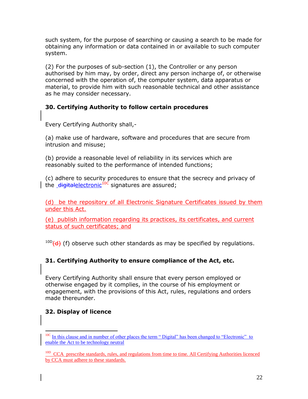such system, for the purpose of searching or causing a search to be made for obtaining any information or data contained in or available to such computer system.

(2) For the purposes of sub-section (1), the Controller or any person authorised by him may, by order, direct any person incharge of, or otherwise concerned with the operation of, the computer system, data apparatus or material, to provide him with such reasonable technical and other assistance as he may consider necessary.

# **30. Certifying Authority to follow certain procedures**

Every Certifying Authority shall,-

(a) make use of hardware, software and procedures that are secure from intrusion and misuse;

(b) provide a reasonable level of reliability in its services which are reasonably suited to the performance of intended functions;

(c) adhere to security procedures to ensure that the secrecy and privacy of the  $\frac{digita}{e^{(c)}}$  signatures are assured;

(d) be the repository of all Electronic Signature Certificates issued by them under this Act.

(e) publish information regarding its practices, its certificates, and current status of such certificates; and

 $10D(d)$  (f) observe such other standards as may be specified by regulations.

# **31. Certifying Authority to ensure compliance of the Act, etc.**

Every Certifying Authority shall ensure that every person employed or otherwise engaged by it complies, in the course of his employment or engagement, with the provisions of this Act, rules, regulations and orders made thereunder.

# **32. Display of licence**

 $10C$  In this clause and in number of other places the term "Digital" has been changed to "Electronic" to enable the Act to be technology neutral

<sup>&</sup>lt;sup>10D</sup> CCA prescribe standards, rules, and regulations from time to time. All Certifying Authorities licenced by CCA must adhere to these standards.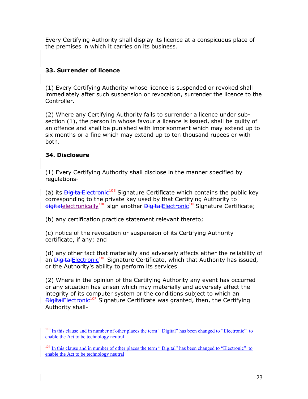Every Certifying Authority shall display its licence at a conspicuous place of the premises in which it carries on its business.

# **33. Surrender of licence**

(1) Every Certifying Authority whose licence is suspended or revoked shall immediately after such suspension or revocation, surrender the licence to the Controller.

(2) Where any Certifying Authority fails to surrender a licence under subsection (1), the person in whose favour a licence is issued, shall be guilty of an offence and shall be punished with imprisonment which may extend up to six months or a fine which may extend up to ten thousand rupees or with both.

## **34. Disclosure**

 $\overline{a}$ 

(1) Every Certifying Authority shall disclose in the manner specified by regulations-

(a) its **DigitalElectronic<sup>10E</sup>** Signature Certificate which contains the public key corresponding to the private key used by that Certifying Authority to  $diq$ italelectronically<sup>10E</sup> sign another DigitalElectronic<sup>10E</sup>Signature Certificate;

(b) any certification practice statement relevant thereto;

(c) notice of the revocation or suspension of its Certifying Authority certificate, if any; and

(d) any other fact that materially and adversely affects either the reliability of an  $\overrightarrow{Digital}$ Electronic<sup>10F</sup> Signature Certificate, which that Authority has issued, or the Authority's ability to perform its services.

(2) Where in the opinion of the Certifying Authority any event has occurred or any situation has arisen which may materially and adversely affect the integrity of its computer system or the conditions subject to which an **DigitalElectronic<sup>10F</sup>** Signature Certificate was granted, then, the Certifying Authority shall-

<sup>&</sup>lt;sup>10E</sup> In this clause and in number of other places the term "Digital" has been changed to "Electronic" to enable the Act to be technology neutral

<sup>&</sup>lt;sup>10F</sup> In this clause and in number of other places the term " Digital" has been changed to "Electronic" to enable the Act to be technology neutral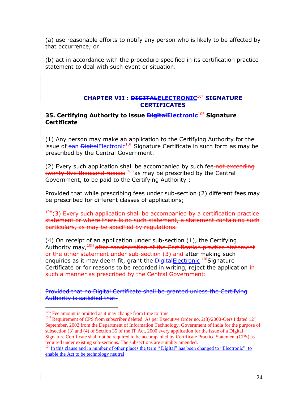(a) use reasonable efforts to notify any person who is likely to be affected by that occurrence; or

(b) act in accordance with the procedure specified in its certification practice statement to deal with such event or situation.

## **CHAPTER VII : DIGITALELECTRONIC**10F **SIGNATURE CERTIFICATES**

## **35. Certifying Authority to issue DigitalElectronic**10F **Signature Certificate**

(1) Any person may make an application to the Certifying Authority for the issue of  $a_{2n}$  Digital Electronic<sup>10F</sup> Signature Certificate in such form as may be prescribed by the Central Government.

(2) Every such application shall be accompanied by such fee not exceeding twenty-five thousand rupees <sup>10G</sup>as may be prescribed by the Central Government, to be paid to the Certifying Authority :

Provided that while prescribing fees under sub-section (2) different fees may be prescribed for different classes of applications;

 $10H(3)$  Every such application shall be accompanied by a certification practice statement or where there is no such statement, a statement containing such particulars, as may be specified by regulations.

(4) On receipt of an application under sub-section (1), the Certifying Authority may,<sup>10H</sup> after consideration of the Certification practice statement or the other statement under sub-section (3) and after making such enquiries as it may deem fit, grant the *DigitalElectronic* <sup>10I</sup>Signature Certificate or for reasons to be recorded in writing, reject the application in such a manner as prescribed by the Central Government:

Provided that no Digital Certificate shall be granted unless the Certifying Authority is satisfied that-

<sup>&</sup>lt;sup>10G</sup> Fee amount is omitted as it may change from time to time.

<sup>&</sup>lt;sup>10H</sup> Requirement of CPS from subscriber deleted. As per Executive Order no. 2(8)/2000-Oers.I dated 12<sup>th</sup> September, 2002 from the Department of Information Technology, Government of India for the purpose of subsection (3) and (4) of Section 35 of the IT Act, 2000 every application for the issue of a Digital Signature Certificate shall not be required to be accompanied by Certificate Practice Statement (CPS) as required under existing sub-sections. The subsections are suitably amended.

 $101$  In this clause and in number of other places the term "Digital" has been changed to "Electronic" to enable the Act to be technology neutral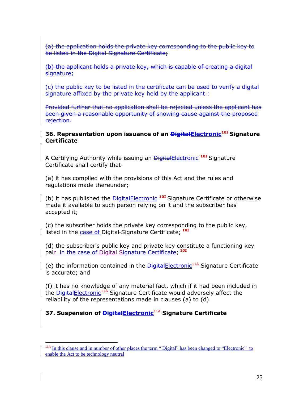(a) the application holds the private key corresponding to the public key to be listed in the Digital Signature Certificate;

(b) the applicant holds a private key, which is capable of creating a digital signature;

(c) the public key to be listed in the certificate can be used to verify a digital signature affixed by the private key held by the applicant:

Provided further that no application shall be rejected unless the applicant has been given a reasonable opportunity of showing cause against the proposed rejection.

## **36. Representation upon issuance of an DigitalElectronic10I Signature Certificate**

A Certifying Authority while issuing an DigitalElectronic **10I** Signature Certificate shall certify that-

(a) it has complied with the provisions of this Act and the rules and regulations made thereunder;

(b) it has published the DigitalElectronic **10I** Signature Certificate or otherwise made it available to such person relying on it and the subscriber has accepted it;

(c) the subscriber holds the private key corresponding to the public key, listed in the case of Digital-Signature Certificate; <sup>101</sup>

(d) the subscriber's public key and private key constitute a functioning key pair in the case of Digital Signature Certificate; **10I**

(e) the information contained in the  $\overline{\text{DigitalElectronic}}^{11A}$  Signature Certificate is accurate; and

(f) it has no knowledge of any material fact, which if it had been included in the **DigitalElectronic<sup>11A</sup>** Signature Certificate would adversely affect the reliability of the representations made in clauses (a) to (d).

# **37. Suspension of DigitalElectronic**11A **Signature Certificate**

 $\overline{a}$ 11A In this clause and in number of other places the term " Digital" has been changed to "Electronic" to enable the Act to be technology neutral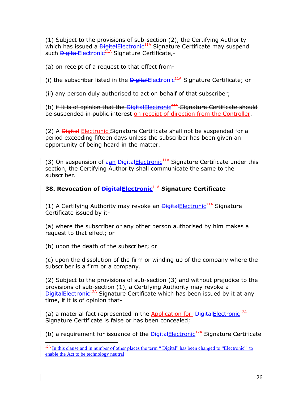(1) Subject to the provisions of sub-section (2), the Certifying Authority which has issued a  $\frac{D_{\text{left}}}{D}$  Electronic<sup>11A</sup> Signature Certificate may suspend such <del>Digital</del>Electronic<sup>11A</sup> Signature Certificate,-

(a) on receipt of a request to that effect from-

(i) the subscriber listed in the  $\overline{\text{DigitalElectronic}}^{11A}$  Signature Certificate; or

(ii) any person duly authorised to act on behalf of that subscriber;

(b) i<del>f it is of opinion that the DigitalElectronic<sup>11A</sup> Signature Certificate should</del> be suspended in public interest on receipt of direction from the Controller.

(2) A Digital Electronic Signature Certificate shall not be suspended for a period exceeding fifteen days unless the subscriber has been given an opportunity of being heard in the matter.

(3) On suspension of  $a_{\text{an}}$  DigitalElectronic<sup>11A</sup> Signature Certificate under this section, the Certifying Authority shall communicate the same to the subscriber.

# **38. Revocation of DigitalElectronic**11A **Signature Certificate**

(1) A Certifying Authority may revoke an  $\frac{1}{10}$  Electronic<sup>11A</sup> Signature Certificate issued by it-

(a) where the subscriber or any other person authorised by him makes a request to that effect; or

(b) upon the death of the subscriber; or

(c) upon the dissolution of the firm or winding up of the company where the subscriber is a firm or a company.

(2) Subject to the provisions of sub-section (3) and without prejudice to the provisions of sub-section (1), a Certifying Authority may revoke a DigitalElectronic<sup>12A</sup> Signature Certificate which has been issued by it at any time, if it is of opinion that-

(a) a material fact represented in the **Application for DigitalElectronic<sup>12A</sup>** Signature Certificate is false or has been concealed;

(b) a requirement for issuance of the  $\overline{\text{DigitalElectronic}}^{12A}$  Signature Certificate

 $\overline{a}$  $12A$  In this clause and in number of other places the term "Digital" has been changed to "Electronic" to enable the Act to be technology neutral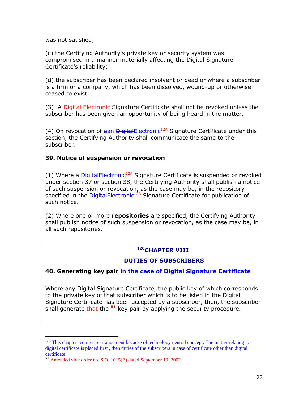was not satisfied;

(c) the Certifying Authority's private key or security system was compromised in a manner materially affecting the Digital Signature Certificate's reliability;

(d) the subscriber has been declared insolvent or dead or where a subscriber is a firm or a company, which has been dissolved, wound-up or otherwise ceased to exist.

(3) A Digital Electronic Signature Certificate shall not be revoked unless the subscriber has been given an opportunity of being heard in the matter.

(4) On revocation of aan <del>Digital</del>Electronic<sup>12A</sup> Signature Certificate under this section, the Certifying Authority shall communicate the same to the subscriber.

#### **39. Notice of suspension or revocation**

(1) Where a  $\overline{\text{DigitalElectronic}}^{12A}$  Signature Certificate is suspended or revoked under section 37 or section 38, the Certifying Authority shall publish a notice of such suspension or revocation, as the case may be, in the repository specified in the *DigitalElectronic*<sup>12A</sup> Signature Certificate for publication of such notice.

(2) Where one or more **repositories** are specified, the Certifying Authority shall publish notice of such suspension or revocation, as the case may be, in all such repositories.

#### **12CCHAPTER VIII**

## **DUTIES OF SUBSCRIBERS**

## **40. Generating key pair in the case of Digital Signature Certificate**

Where any Digital Signature Certificate, the public key of which corresponds to the private key of that subscriber which is to be listed in the Digital Signature Certificate has been accepted by a subscriber, then, the subscriber shall generate  $\frac{\text{that}}{\text{the}}$  **R1** key pair by applying the security procedure.

<sup>&</sup>lt;sup>12C</sup> This chapter requires rearrangement because of technology neutral concept. The matter relating to digital certificate is placed first , then duties of the subscribers in case of certificate other than digital certificate

 $R1$  Amended vide order no. S.O. 1015(E) dated September 19, 2002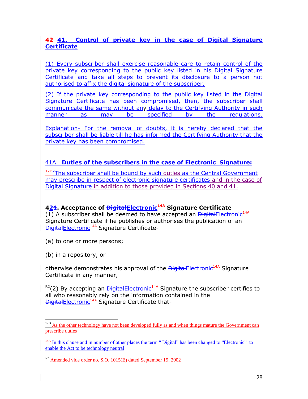## **42 41. Control of private key in the case of Digital Signature Certificate**

(1) Every subscriber shall exercise reasonable care to retain control of the private key corresponding to the public key listed in his Digital Signature Certificate and take all steps to prevent its disclosure to a person not authorised to affix the digital signature of the subscriber.

(2) If the private key corresponding to the public key listed in the Digital Signature Certificate has been compromised, then, the subscriber shall communicate the same without any delay to the Certifying Authority in such manner as may be specified by the regulations.

Explanation- For the removal of doubts, it is hereby declared that the subscriber shall be liable till he has informed the Certifying Authority that the private key has been compromised.

## 41A. **Duties of the subscribers in the case of Electronic Signature:**

<sup>12D2</sup>The subscriber shall be bound by such duties as the Central Government may prescribe in respect of electronic signature certificates and in the case of Digital Signature in addition to those provided in Sections 40 and 41.

**421. Acceptance of DigitalElectronic14A Signature Certificate** (1) A subscriber shall be deemed to have accepted an  $\frac{1}{9}$  bigital  $\frac{1}{2}$  and  $\frac{1}{4}$ Signature Certificate if he publishes or authorises the publication of an DigitalElectronic14A Signature Certificate-

(a) to one or more persons;

(b) in a repository, or

 $\overline{a}$ 

otherwise demonstrates his approval of the **DigitalElectronic<sup>14A</sup> Signature** Certificate in any manner,

 $R^2(2)$  By accepting an  $\frac{1}{\text{Height}}$  Electronic<sup>14A</sup> Signature the subscriber certifies to all who reasonably rely on the information contained in the DigitalElectronic14A Signature Certificate that-

<sup>&</sup>lt;sup>12D</sup> As the other technology have not been developed fully as and when things mature the Government can prescribe duties

<sup>&</sup>lt;sup>14A</sup> In this clause and in number of other places the term "Digital" has been changed to "Electronic" to enable the Act to be technology neutral

 $R^2$  Amended vide order no. S.O. 1015(E) dated September 19, 2002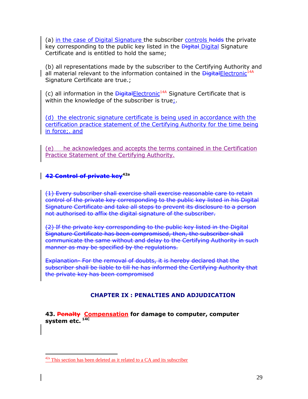(a) in the case of Digital Signature the subscriber controls holds the private key corresponding to the public key listed in the **Digital Digital** Signature Certificate and is entitled to hold the same;

(b) all representations made by the subscriber to the Certifying Authority and all material relevant to the information contained in the **DigitalElectronic<sup>14A</sup>** Signature Certificate are true.;

(c) all information in the  $\overline{\text{Digital}E}$  lectronic<sup>14A</sup> Signature Certificate that is within the knowledge of the subscriber is true;

(d) the electronic signature certificate is being used in accordance with the certification practice statement of the Certifying Authority for the time being in force;. and

(e) he acknowledges and accepts the terms contained in the Certification Practice Statement of the Certifying Authority.

# **42 Control of private key42a**

(1) Every subscriber shall exercise shall exercise reasonable care to retain control of the private key corresponding to the public key listed in his Digital Signature Certificate and take all steps to prevent its disclosure to a person not authorised to affix the digital signature of the subscriber.

(2) If the private key corresponding to the public key listed in the Digital Signature Certificate has been compromised, then, the subscriber shall communicate the same without and delay to the Certifying Authority in such manner as may be specified by the regulations.

Explanation- For the removal of doubts, it is hereby declared that the subscriber shall be liable to till he has informed the Certifying Authority that the private key has been compromised

## **CHAPTER IX : PENALTIES AND ADJUDICATION**

**43. Penalty Compensation for damage to computer, computer system etc. 14C**

 $\overline{a}$  $42a$  This section has been deleted as it related to a CA and its subscriber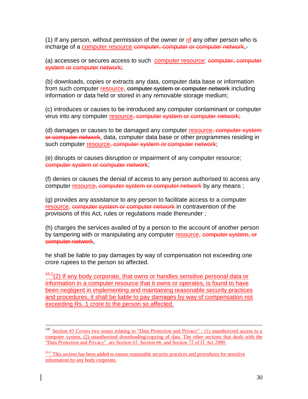(1) If any person, without permission of the owner or of any other person who is incharge of a computer resource computer, computer or computer network,-

(a) accesses or secures access to such computer resource; computer, computer system or computer network;

(b) downloads, copies or extracts any data, computer data base or information from such computer resource, computer system or computer network including information or data held or stored in any removable storage medium;

(c) introduces or causes to be introduced any computer contaminant or computer virus into any computer resource, computer system or computer network;

(d) damages or causes to be damaged any computer resource, computer system or computer network, data, computer data base or other programmes residing in such computer resource, computer system or computer network;

(e) disrupts or causes disruption or impairment of any computer resource; computer system or computer network;

(f) denies or causes the denial of access to any person authorised to access any computer resource, computer system or computer network by any means :

(g) provides any assistance to any person to facilitate access to a computer resource, computer system or computer network in contravention of the provisions of this Act, rules or regulations made thereunder ;

(h) charges the services availed of by a person to the account of another person by tampering with or manipulating any computer resource, computer system, or computer network,

he shall be liable to pay damages by way of compensation not exceeding one crore rupees to the person so affected.

 $43-2$ (2) If any body corporate, that owns or handles sensitive personal data or information in a computer resource that it owns or operates, is found to have been negligent in implementing and maintaining reasonable security practices and procedures, it shall be liable to pay damages by way of compensation not exceeding Rs. 1 crore to the person so affected.

<sup>&</sup>lt;sup>14C</sup> Section 43 Covers two issues relating to "Data Protection and Privacy" : (1) unauthorized access to a computer system, (2) unauthorized downloading/copying of data. The other sections that deals with the "Data Protection and Privacy" are Section 65, Section 66, and Section 72 of IT Act 2000.

<sup>43-2</sup> This section has been added to ensure reasonable security practices and procedures for sensitive information by any body corporate.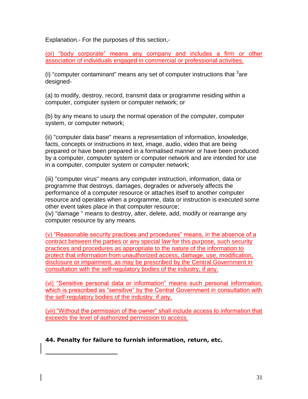Explanation.- For the purposes of this section,-

(oi) "body corporate" means any company and includes a firm or other association of individuals engaged in commercial or professional activities.

(i) "computer contaminant" means any set of computer instructions that  $3$  are designed-

(a) to modify, destroy, record, transmit data or programme residing within a computer, computer system or computer network; or

(b) by any means to usurp the normal operation of the computer, computer system, or computer network;

(ii) "computer data base" means a representation of information, knowledge, facts, concepts or instructions in text, image, audio, video that are being prepared or have been prepared in a formalised manner or have been produced by a computer, computer system or computer network and are intended for use in a computer, computer system or computer network;

(iii) "computer virus" means any computer instruction, information, data or programme that destroys, damages, degrades or adversely affects the performance of a computer resource or attaches itself to another computer resource and operates when a programme, data or instruction is executed some other event takes place in that computer resource;

(iv) "damage " means to destroy, alter, delete, add, modify or rearrange any computer resource by any means.

(v) "Reasonable security practices and procedures" means, in the absence of a contract between the parties or any special law for this purpose, such security practices and procedures as appropriate to the nature of the information to protect that information from unauthorized access, damage, use, modification, disclosure or impairment, as may be prescribed by the Central Government in consultation with the self-regulatory bodies of the industry, if any.

(vi) "Sensitive personal data or information" means such personal information, which is prescribed as "sensitive" by the Central Government in consultation with the self-regulatory bodies of the industry, if any.

(vii) "Without the permission of the owner" shall include access to information that exceeds the level of authorized permission to access.

## **44. Penalty for failure to furnish information, return, etc.**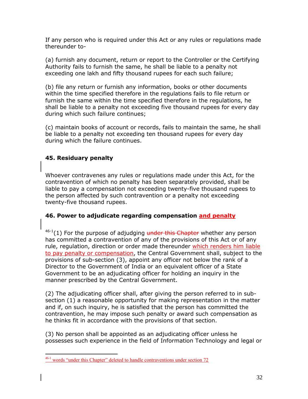If any person who is required under this Act or any rules or regulations made thereunder to-

(a) furnish any document, return or report to the Controller or the Certifying Authority fails to furnish the same, he shall be liable to a penalty not exceeding one lakh and fifty thousand rupees for each such failure;

(b) file any return or furnish any information, books or other documents within the time specified therefore in the regulations fails to file return or furnish the same within the time specified therefore in the regulations, he shall be liable to a penalty not exceeding five thousand rupees for every day during which such failure continues;

(c) maintain books of account or records, fails to maintain the same, he shall be liable to a penalty not exceeding ten thousand rupees for every day during which the failure continues.

## **45. Residuary penalty**

 $\overline{a}$ 

Whoever contravenes any rules or regulations made under this Act, for the contravention of which no penalty has been separately provided, shall be liable to pay a compensation not exceeding twenty-five thousand rupees to the person affected by such contravention or a penalty not exceeding twenty-five thousand rupees.

# **46. Power to adjudicate regarding compensation and penalty**

<sup>46-1</sup>(1) For the purpose of adjudging under this Chapter whether any person has committed a contravention of any of the provisions of this Act or of any rule, regulation, direction or order made thereunder which renders him liable to pay penalty or compensation, the Central Government shall, subject to the provisions of sub-section (3), appoint any officer not below the rank of a Director to the Government of India or an equivalent officer of a State Government to be an adjudicating officer for holding an inquiry in the manner prescribed by the Central Government.

(2) The adjudicating officer shall, after giving the person referred to in subsection (1) a reasonable opportunity for making representation in the matter and if, on such inquiry, he is satisfied that the person has committed the contravention, he may impose such penalty or award such compensation as he thinks fit in accordance with the provisions of that section.

(3) No person shall be appointed as an adjudicating officer unless he possesses such experience in the field of Information Technology and legal or

<sup>&</sup>lt;sup>46-1</sup> words "under this Chapter" deleted to handle contraventions under section 72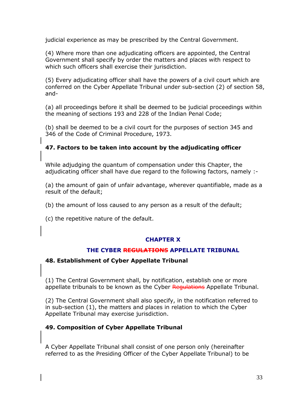judicial experience as may be prescribed by the Central Government.

(4) Where more than one adjudicating officers are appointed, the Central Government shall specify by order the matters and places with respect to which such officers shall exercise their jurisdiction.

(5) Every adjudicating officer shall have the powers of a civil court which are conferred on the Cyber Appellate Tribunal under sub-section (2) of section 58, and-

(a) all proceedings before it shall be deemed to be judicial proceedings within the meaning of sections 193 and 228 of the Indian Penal Code;

(b) shall be deemed to be a civil court for the purposes of section 345 and 346 of the Code of Criminal Procedure, 1973.

## **47. Factors to be taken into account by the adjudicating officer**

While adjudging the quantum of compensation under this Chapter, the adjudicating officer shall have due regard to the following factors, namely :-

(a) the amount of gain of unfair advantage, wherever quantifiable, made as a result of the default;

- (b) the amount of loss caused to any person as a result of the default;
- (c) the repetitive nature of the default.

#### **CHAPTER X**

## **THE CYBER REGULATIONS APPELLATE TRIBUNAL**

#### **48. Establishment of Cyber Appellate Tribunal**

(1) The Central Government shall, by notification, establish one or more appellate tribunals to be known as the Cyber Regulations Appellate Tribunal.

(2) The Central Government shall also specify, in the notification referred to in sub-section (1), the matters and places in relation to which the Cyber Appellate Tribunal may exercise jurisdiction.

## **49. Composition of Cyber Appellate Tribunal**

A Cyber Appellate Tribunal shall consist of one person only (hereinafter referred to as the Presiding Officer of the Cyber Appellate Tribunal) to be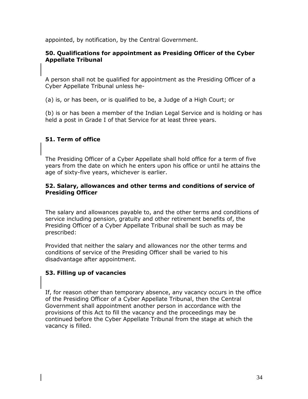appointed, by notification, by the Central Government.

## **50. Qualifications for appointment as Presiding Officer of the Cyber Appellate Tribunal**

A person shall not be qualified for appointment as the Presiding Officer of a Cyber Appellate Tribunal unless he-

(a) is, or has been, or is qualified to be, a Judge of a High Court; or

(b) is or has been a member of the Indian Legal Service and is holding or has held a post in Grade I of that Service for at least three years.

## **51. Term of office**

The Presiding Officer of a Cyber Appellate shall hold office for a term of five years from the date on which he enters upon his office or until he attains the age of sixty-five years, whichever is earlier.

## **52. Salary, allowances and other terms and conditions of service of Presiding Officer**

The salary and allowances payable to, and the other terms and conditions of service including pension, gratuity and other retirement benefits of, the Presiding Officer of a Cyber Appellate Tribunal shall be such as may be prescribed:

Provided that neither the salary and allowances nor the other terms and conditions of service of the Presiding Officer shall be varied to his disadvantage after appointment.

## **53. Filling up of vacancies**

If, for reason other than temporary absence, any vacancy occurs in the office of the Presiding Officer of a Cyber Appellate Tribunal, then the Central Government shall appointment another person in accordance with the provisions of this Act to fill the vacancy and the proceedings may be continued before the Cyber Appellate Tribunal from the stage at which the vacancy is filled.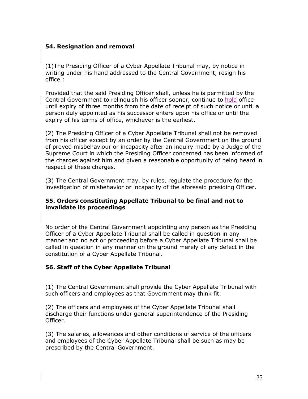## **54. Resignation and removal**

(1)The Presiding Officer of a Cyber Appellate Tribunal may, by notice in writing under his hand addressed to the Central Government, resign his office :

Provided that the said Presiding Officer shall, unless he is permitted by the Central Government to relinquish his officer sooner, continue to hold office until expiry of three months from the date of receipt of such notice or until a person duly appointed as his successor enters upon his office or until the expiry of his terms of office, whichever is the earliest.

(2) The Presiding Officer of a Cyber Appellate Tribunal shall not be removed from his officer except by an order by the Central Government on the ground of proved misbehaviour or incapacity after an inquiry made by a Judge of the Supreme Court in which the Presiding Officer concerned has been informed of the charges against him and given a reasonable opportunity of being heard in respect of these charges.

(3) The Central Government may, by rules, regulate the procedure for the investigation of misbehavior or incapacity of the aforesaid presiding Officer.

## **55. Orders constituting Appellate Tribunal to be final and not to invalidate its proceedings**

No order of the Central Government appointing any person as the Presiding Officer of a Cyber Appellate Tribunal shall be called in question in any manner and no act or proceeding before a Cyber Appellate Tribunal shall be called in question in any manner on the ground merely of any defect in the constitution of a Cyber Appellate Tribunal.

## **56. Staff of the Cyber Appellate Tribunal**

(1) The Central Government shall provide the Cyber Appellate Tribunal with such officers and employees as that Government may think fit.

(2) The officers and employees of the Cyber Appellate Tribunal shall discharge their functions under general superintendence of the Presiding Officer.

(3) The salaries, allowances and other conditions of service of the officers and employees of the Cyber Appellate Tribunal shall be such as may be prescribed by the Central Government.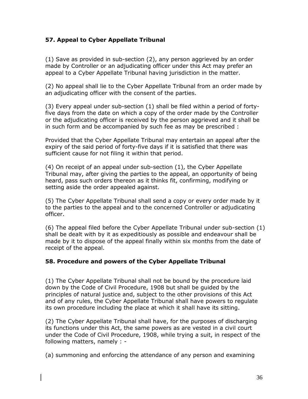## **57. Appeal to Cyber Appellate Tribunal**

(1) Save as provided in sub-section (2), any person aggrieved by an order made by Controller or an adjudicating officer under this Act may prefer an appeal to a Cyber Appellate Tribunal having jurisdiction in the matter.

(2) No appeal shall lie to the Cyber Appellate Tribunal from an order made by an adjudicating officer with the consent of the parties.

(3) Every appeal under sub-section (1) shall be filed within a period of fortyfive days from the date on which a copy of the order made by the Controller or the adjudicating officer is received by the person aggrieved and it shall be in such form and be accompanied by such fee as may be prescribed :

Provided that the Cyber Appellate Tribunal may entertain an appeal after the expiry of the said period of forty-five days if it is satisfied that there was sufficient cause for not filing it within that period.

(4) On receipt of an appeal under sub-section (1), the Cyber Appellate Tribunal may, after giving the parties to the appeal, an opportunity of being heard, pass such orders thereon as it thinks fit, confirming, modifying or setting aside the order appealed against.

(5) The Cyber Appellate Tribunal shall send a copy or every order made by it to the parties to the appeal and to the concerned Controller or adjudicating officer.

(6) The appeal filed before the Cyber Appellate Tribunal under sub-section (1) shall be dealt with by it as expeditiously as possible and endeavour shall be made by it to dispose of the appeal finally within six months from the date of receipt of the appeal.

## **58. Procedure and powers of the Cyber Appellate Tribunal**

(1) The Cyber Appellate Tribunal shall not be bound by the procedure laid down by the Code of Civil Procedure, 1908 but shall be guided by the principles of natural justice and, subject to the other provisions of this Act and of any rules, the Cyber Appellate Tribunal shall have powers to regulate its own procedure including the place at which it shall have its sitting.

(2) The Cyber Appellate Tribunal shall have, for the purposes of discharging its functions under this Act, the same powers as are vested in a civil court under the Code of Civil Procedure, 1908, while trying a suit, in respect of the following matters, namely : -

(a) summoning and enforcing the attendance of any person and examining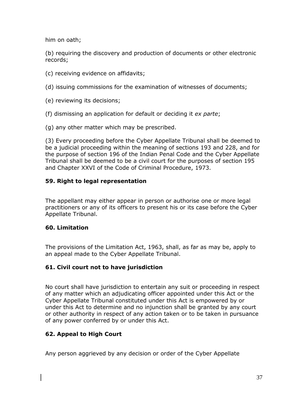him on oath;

(b) requiring the discovery and production of documents or other electronic records;

- (c) receiving evidence on affidavits;
- (d) issuing commissions for the examination of witnesses of documents;
- (e) reviewing its decisions;
- (f) dismissing an application for default or deciding it *ex parte*;
- (g) any other matter which may be prescribed.

(3) Every proceeding before the Cyber Appellate Tribunal shall be deemed to be a judicial proceeding within the meaning of sections 193 and 228, and for the purpose of section 196 of the Indian Penal Code and the Cyber Appellate Tribunal shall be deemed to be a civil court for the purposes of section 195 and Chapter XXVI of the Code of Criminal Procedure, 1973.

## **59. Right to legal representation**

The appellant may either appear in person or authorise one or more legal practitioners or any of its officers to present his or its case before the Cyber Appellate Tribunal.

## **60. Limitation**

The provisions of the Limitation Act, 1963, shall, as far as may be, apply to an appeal made to the Cyber Appellate Tribunal.

## **61. Civil court not to have jurisdiction**

No court shall have jurisdiction to entertain any suit or proceeding in respect of any matter which an adjudicating officer appointed under this Act or the Cyber Appellate Tribunal constituted under this Act is empowered by or under this Act to determine and no injunction shall be granted by any court or other authority in respect of any action taken or to be taken in pursuance of any power conferred by or under this Act.

## **62. Appeal to High Court**

Any person aggrieved by any decision or order of the Cyber Appellate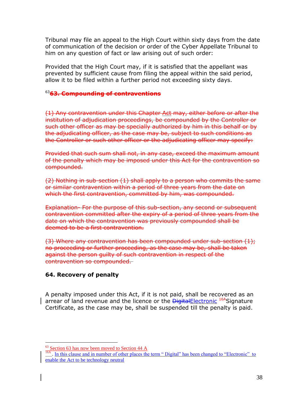Tribunal may file an appeal to the High Court within sixty days from the date of communication of the decision or order of the Cyber Appellate Tribunal to him on any question of fact or law arising out of such order:

Provided that the High Court may, if it is satisfied that the appellant was prevented by sufficient cause from filing the appeal within the said period, allow it to be filed within a further period not exceeding sixty days.

## <sup>63</sup>**63. Compounding of contraventions**

(1) Any contravention under this Chapter Act may, either before or after the institution of adjudication proceedings, be compounded by the Controller or such other officer as may be specially authorized by him in this behalf or by the adjudicating officer, as the case may be, subject to such conditions as the Controller or such other officer or the adjudicating officer may specify:

Provided that such sum shall not, in any case, exceed the maximum amount of the penalty which may be imposed under this Act for the contravention so compounded.

(2) Nothing in sub-section (1) shall apply to a person who commits the same or similar contravention within a period of three years from the date on which the first contravention, committed by him, was compounded.

Explanation- For the purpose of this sub-section, any second or subsequent contravention committed after the expiry of a period of three years from the date on which the contravention was previously compounded shall be deemed to be a first contravention.

(3) Where any contravention has been compounded under sub-section (1); no proceeding or further proceeding, as the case may be, shall be taken against the person guilty of such contravention in respect of the contravention so compounded.

## **64. Recovery of penalty**

 $\overline{a}$ 

A penalty imposed under this Act, if it is not paid, shall be recovered as an arrear of land revenue and the licence or the **DigitalElectronic** 16ASignature Certificate, as the case may be, shall be suspended till the penalty is paid.

 $63$  Section 63 has now been moved to Section 44 A

<sup>&</sup>lt;sup>16A</sup>. In this clause and in number of other places the term "Digital" has been changed to "Electronic" to enable the Act to be technology neutral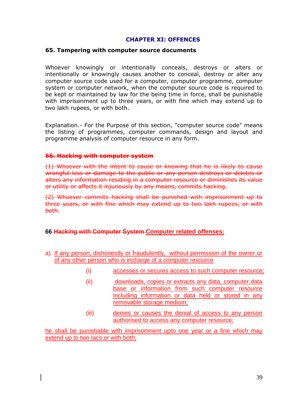## **CHAPTER XI: OFFENCES**

#### **65. Tampering with computer source documents**

Whoever knowingly or intentionally conceals, destroys or alters or intentionally or knowingly causes another to conceal, destroy or alter any computer source code used for a computer, computer programme, computer system or computer network, when the computer source code is required to be kept or maintained by law for the being time in force, shall be punishable with imprisonment up to three years, or with fine which may extend up to two lakh rupees, or with both.

Explanation.- For the Purpose of this section, "computer source code" means the listing of programmes, computer commands, design and layout and programme analysis of computer resource in any form.

#### **66. Hacking with computer system**

(1) Whoever with the intent to cause or knowing that he is likely to cause wrongful loss or damage to the public or any person destroys or deletes or alters any information residing in a computer resource or diminishes its value or utility or affects it injuriously by any means, commits hacking.

(2) Whoever commits hacking shall be punished with imprisonment up to three years, or with fine which may extend up to two lakh rupees, or with both.

#### **66 Hacking with Computer System Computer related offenses:**

- a) If any person, dishonestly or fraudulently, without permission of the owner or of any other person who is incharge of a computer resource
	- (i) accesses or secures access to such computer resource;
	- (ii) downloads, copies or extracts any data, computer data base or information from such computer resource including information or data held or stored in any removable storage medium;
	- (iii) denies or causes the denial of access to any person authorised to access any computer resource;

he shall be punishable with imprisonment upto one year or a fine which may extend up to two lacs or with both;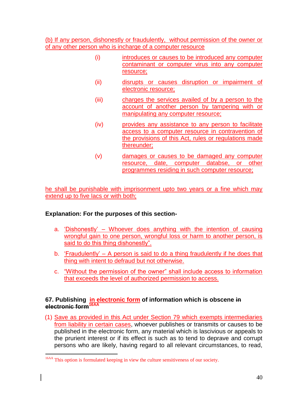(b) If any person, dishonestly or fraudulently, without permission of the owner or of any other person who is incharge of a computer resource

- (i) introduces or causes to be introduced any computer contaminant or computer virus into any computer resource;
- (ii) disrupts or causes disruption or impairment of electronic resource;
- (iii) charges the services availed of by a person to the account of another person by tampering with or manipulating any computer resource;
- (iv) provides any assistance to any person to facilitate access to a computer resource in contravention of the provisions of this Act, rules or regulations made thereunder;
- (v) damages or causes to be damaged any computer resource, date, computer databse, or other programmes residing in such computer resource;

he shall be punishable with imprisonment upto two years or a fine which may extend up to five lacs or with both;

# **Explanation: For the purposes of this section-**

- a. "Dishonestly" Whoever does anything with the intention of causing wrongful gain to one person, wrongful loss or harm to another person, is said to do this thing dishonestly".
- b. "Fraudulently" A person is said to do a thing fraudulently if he does that thing with intent to defraud but not otherwise.
- c. "Without the permission of the owner" shall include access to information that exceeds the level of authorized permission to access.

## **67. Publishing in electronic form of information which is obscene in electronic form16AA**

(1) Save as provided in this Act under Section 79 which exempts intermediaries from liability in certain cases, whoever publishes or transmits or causes to be published in the electronic form, any material which is lascivious or appeals to the prurient interest or if its effect is such as to tend to deprave and corrupt persons who are likely, having regard to all relevant circumstances, to read,

<sup>&</sup>lt;sup>16AA</sup> This option is formulated keeping in view the culture sensitiveness of our society.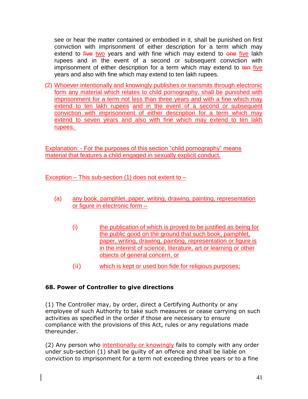see or hear the matter contained or embodied in it, shall be punished on first conviction with imprisonment of either description for a term which may extend to *five* two years and with fine which may extend to one five lakh rupees and in the event of a second or subsequent conviction with imprisonment of either description for a term which may extend to ten five years and also with fine which may extend to ten lakh rupees.

(2) Whoever intentionally and knowingly publishes or transmits through electronic form any material which relates to child pornography, shall be punished with imprisonment for a term not less than three years and with a fine which may extend to ten lakh rupees and in the event of a second or subsequent conviction with imprisonment of either description for a term which may extend to seven years and also with fine which may extend to ten lakh rupees.

Explanation: - For the purposes of this section "child pornography" means material that features a child engaged in sexually explicit conduct.

Exception – This sub-section  $(1)$  does not extent to –

- (a) any book, pamphlet, paper, writing, drawing, painting, representation or figure in electronic form –
	- (i) the publication of which is proved to be justified as being for the public good on the ground that such book, pamphlet, paper, writing, drawing, painting, representation or figure is in the interest of science, literature, art or learning or other objects of general concern, or
	- (ii) which is kept or used bon fide for religious purposes;

## **68. Power of Controller to give directions**

(1) The Controller may, by order, direct a Certifying Authority or any employee of such Authority to take such measures or cease carrying on such activities as specified in the order if those are necessary to ensure compliance with the provisions of this Act, rules or any regulations made thereunder.

(2) Any person who *intentionally or knowingly* fails to comply with any order under sub-section (1) shall be guilty of an offence and shall be liable on conviction to imprisonment for a term not exceeding three years or to a fine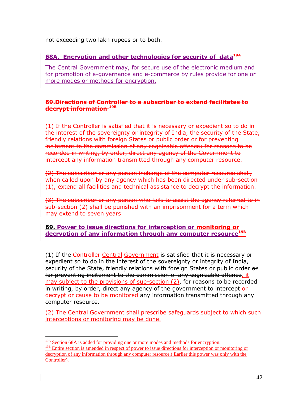not exceeding two lakh rupees or to both.

# **68A. Encryption and other technologies for security of data19A**

The Central Government may, for secure use of the electronic medium and for promotion of e-governance and e-commerce by rules provide for one or more modes or methods for encryption.

#### **69.Directions of Controller to a subscriber to extend facilitates to decrypt information 19B**

(1) If the Controller is satisfied that it is necessary or expedient so to do in the interest of the sovereignty or integrity of India, the security of the State, friendly relations with foreign States or public order or for preventing incitement to the commission of any cognizable offence; for reasons to be recorded in writing, by order, direct any agency of the Government to intercept any information transmitted through any computer resource.

(2) The subscriber or any person incharge of the computer resource shall, when called upon by any agency which has been directed under sub-section (1), extend all facilities and technical assistance to decrypt the information.

(3) The subscriber or any person who fails to assist the agency referred to in sub-section (2) shall be punished with an imprisonment for a term which may extend to seven years

## **69. Power to issue directions for interception or monitoring or decryption of any information through any computer resource19B**

(1) If the Controller Central Government is satisfied that it is necessary or expedient so to do in the interest of the sovereignty or integrity of India, security of the State, friendly relations with foreign States or public order or for preventing incitement to the commission of any cognizable offence, it may subject to the provisions of sub-section (2), for reasons to be recorded in writing, by order, direct any agency of the government to intercept or decrypt or cause to be monitored any information transmitted through any computer resource.

(2) The Central Government shall prescribe safeguards subject to which such interceptions or monitoring may be done.

<sup>&</sup>lt;sup>19A</sup> Section 68A is added for providing one or more modes and methods for encryption. <sup>19B</sup> Entire section is amended in respect of power to issue directions for interception or monitoring or decryption of any information through any computer resource.( Earlier this power was only with the Controller).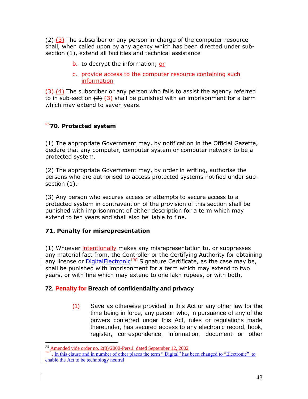$(2)$  (3) The subscriber or any person in-charge of the computer resource shall, when called upon by any agency which has been directed under subsection (1), extend all facilities and technical assistance

- b. to decrypt the information; or
- c. provide access to the computer resource containing such information

 $\left(3\right)$  (4) The subscriber or any person who fails to assist the agency referred to in sub-section  $(2)$   $(3)$  shall be punished with an imprisonment for a term which may extend to seven years.

# R5**70. Protected system**

(1) The appropriate Government may, by notification in the Official Gazette, declare that any computer, computer system or computer network to be a protected system.

(2) The appropriate Government may, by order in writing, authorise the persons who are authorised to access protected systems notified under subsection  $(1)$ .

(3) Any person who secures access or attempts to secure access to a protected system in contravention of the provision of this section shall be punished with imprisonment of either description for a term which may extend to ten years and shall also be liable to fine.

## **71. Penalty for misrepresentation**

(1) Whoever intentionally makes any misrepresentation to, or suppresses any material fact from, the Controller or the Certifying Authority for obtaining any license or  $\overline{\text{DigitalElectronic}}^{19C}$  Signature Certificate, as the case may be, shall be punished with imprisonment for a term which may extend to two years, or with fine which may extend to one lakh rupees, or with both.

## **72. Penalty for Breach of confidentiality and privacy**

(1) Save as otherwise provided in this Act or any other law for the time being in force, any person who, in pursuance of any of the powers conferred under this Act, rules or regulations made thereunder, has secured access to any electronic record, book, register, correspondence, information, document or other

R<sup>5</sup> Amended vide order no. 2(8)/2000-Pers.I dated September 12, 2002

<sup>&</sup>lt;sup>19C</sup>. In this clause and in number of other places the term "Digital" has been changed to "Electronic" to enable the Act to be technology neutral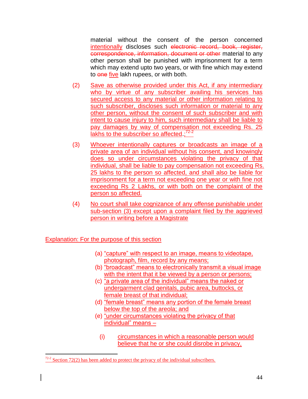material without the consent of the person concerned intentionally discloses such electronic record, book, register, correspondence, information, document or other material to any other person shall be punished with imprisonment for a term which may extend upto two years, or with fine which may extend to one five lakh rupees, or with both.

- (2) Save as otherwise provided under this Act, if any intermediary who by virtue of any subscriber availing his services has secured access to any material or other information relating to such subscriber, discloses such information or material to any other person, without the consent of such subscriber and with intent to cause injury to him, such intermediary shall be liable to pay damages by way of compensation not exceeding Rs. 25 lakhs to the subscriber so affected :<sup>72-2</sup>
- (3) Whoever intentionally captures or broadcasts an image of a private area of an individual without his consent, and knowingly does so under circumstances violating the privacy of that individual, shall be liable to pay compensation not exceeding Rs. 25 lakhs to the person so affected, and shall also be liable for imprisonment for a term not exceeding one year or with fine not exceeding Rs 2 Lakhs, or with both on the complaint of the person so affected.
- (4) No court shall take cognizance of any offense punishable under sub-section (3) except upon a complaint filed by the aggrieved person in writing before a Magistrate

Explanation: For the purpose of this section

- (a) "capture" with respect to an image, means to videotape, photograph, film, record by any means;
- (b) "broadcast" means to electronically transmit a visual image with the intent that it be viewed by a person or persons;
- (c) "a private area of the individual" means the naked or undergarment clad genitals, pubic area, buttocks, or female breast of that individual;
- (d) "female breast" means any portion of the female breast below the top of the areola; and
- (e) "under circumstances violating the privacy of that individual" means –
	- (i) circumstances in which a reasonable person would believe that he or she could disrobe in privacy,

 $72-2$  Section 72(2) has been added to protect the privacy of the individual subscribers.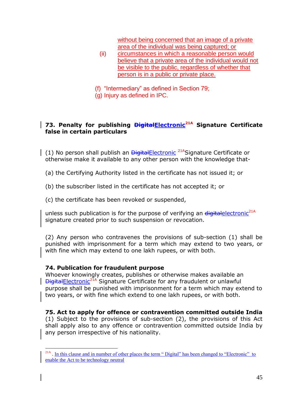without being concerned that an image of a private area of the individual was being captured; or

- (ii) circumstances in which a reasonable person would believe that a private area of the individual would not be visible to the public, regardless of whether that person is in a public or private place.
- (f) "Intermediary" as defined in Section 79;
- (g) Injury as defined in IPC.

## **73. Penalty for publishing DigitalElectronic21A Signature Certificate false in certain particulars**

(1) No person shall publish an  $\overline{D}$ igitalElectronic <sup>21A</sup>Signature Certificate or otherwise make it available to any other person with the knowledge that-

(a) the Certifying Authority listed in the certificate has not issued it; or

(b) the subscriber listed in the certificate has not accepted it; or

(c) the certificate has been revoked or suspended,

unless such publication is for the purpose of verifying an digitalelectronic<sup>21A</sup> signature created prior to such suspension or revocation.

(2) Any person who contravenes the provisions of sub-section (1) shall be punished with imprisonment for a term which may extend to two years, or with fine which may extend to one lakh rupees, or with both.

## **74. Publication for fraudulent purpose**

 $\overline{a}$ 

Whoever knowingly creates, publishes or otherwise makes available an **DigitalElectronic**<sup>21A</sup> Signature Certificate for any fraudulent or unlawful purpose shall be punished with imprisonment for a term which may extend to two years, or with fine which extend to one lakh rupees, or with both.

## **75. Act to apply for offence or contravention committed outside India**

(1) Subject to the provisions of sub-section (2), the provisions of this Act shall apply also to any offence or contravention committed outside India by any person irrespective of his nationality.

<sup>&</sup>lt;sup>21A</sup>. In this clause and in number of other places the term "Digital" has been changed to "Electronic" to enable the Act to be technology neutral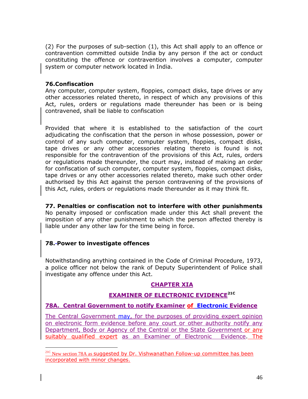(2) For the purposes of sub-section (1), this Act shall apply to an offence or contravention committed outside India by any person if the act or conduct constituting the offence or contravention involves a computer, computer system or computer network located in India.

## **76.Confiscation**

Any computer, computer system, floppies, compact disks, tape drives or any other accessories related thereto, in respect of which any provisions of this Act, rules, orders or regulations made thereunder has been or is being contravened, shall be liable to confiscation

Provided that where it is established to the satisfaction of the court adjudicating the confiscation that the person in whose possession, power or control of any such computer, computer system, floppies, compact disks, tape drives or any other accessories relating thereto is found is not responsible for the contravention of the provisions of this Act, rules, orders or regulations made thereunder, the court may, instead of making an order for confiscation of such computer, computer system, floppies, compact disks, tape drives or any other accessories related thereto, make such other order authorised by this Act against the person contravening of the provisions of this Act, rules, orders or regulations made thereunder as it may think fit.

**77. Penalties or confiscation not to interfere with other punishments** No penalty imposed or confiscation made under this Act shall prevent the imposition of any other punishment to which the person affected thereby is liable under any other law for the time being in force.

## **78. Power to investigate offences**

 $\overline{a}$ 

Notwithstanding anything contained in the Code of Criminal Procedure, 1973, a police officer not below the rank of Deputy Superintendent of Police shall investigate any offence under this Act.

## **CHAPTER XIA**

## **EXAMINER OF ELECTRONIC EVIDENCE21C**

## **78A. Central Government to notify Examiner of Electronic Evidence**

The Central Government may, for the purposes of providing expert opinion on electronic form evidence before any court or other authority notify any Department, Body or Agency of the Central or the State Government or any suitably qualified expert as an Examiner of Electronic Evidence. The

 $21C$  New section 78A as suggested by Dr. Vishwanathan Follow-up committee has been incorporated with minor changes.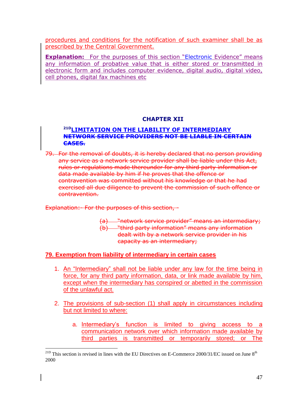procedures and conditions for the notification of such examiner shall be as prescribed by the Central Government.

**Explanation:** For the purposes of this section "Electronic Evidence" means any information of probative value that is either stored or transmitted in electronic form and includes computer evidence, digital audio, digital video, cell phones, digital fax machines etc

## **CHAPTER XII**

#### **21DLIMITATION ON THE LIABILITY OF INTERMEDIARY NETWORK SERVICE PROVIDERS NOT BE LIABLE IN CERTAIN CASES.**

79. For the removal of doubts, it is hereby declared that no person providing any service as a network service provider shall be liable under this Act, rules or regulations made thereunder for any third party information or data made available by him if he proves that the offence or contravention was committed without his knowledge or that he had exercised all due diligence to prevent the commission of such offence or contravention.

Explanation: For the purposes of this section,

(a) - "network service provider" means an intermediary; -"third party information" means any information dealt with by a network service provider in his capacity as an intermediary;

## **79. Exemption from liability of intermediary in certain cases**

- 1. An "Intermediary" shall not be liable under any law for the time being in force, for any third party information, data, or link made available by him, except when the intermediary has conspired or abetted in the commission of the unlawful act.
- 2. The provisions of sub-section (1) shall apply in circumstances including but not limited to where:
	- a. Intermediary's function is limited to giving access to a communication network over which information made available by third parties is transmitted or temporarily stored; or The

 $\overline{a}$ <sup>21D</sup> This section is revised in lines with the EU Directives on E-Commerce 2000/31/EC issued on June  $8<sup>th</sup>$ 2000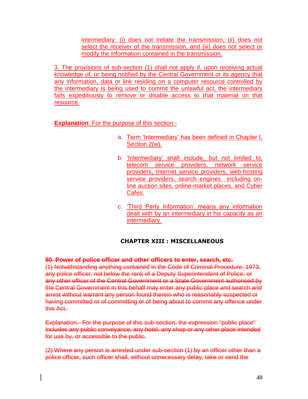intermediary: (i) does not initiate the transmission, (ii) does not select the receiver of the transmission, and (iii) does not select or modify the information contained in the transmission.

3. The provisions of sub-section (1) shall not apply if, upon receiving actual knowledge of, or being notified by the Central Government or its agency that any information, data or link residing on a computer resource controlled by the intermediary is being used to commit the unlawful act, the intermediary fails expeditiously to remove or disable access to that material on that resource.

**Explanation**: For the purpose of this section:-

- a. Term "Intermediary" has been defined in Chapter I, Section 2(w).
- b. "Intermediary" shall include, but not limited to, telecom service providers, network service providers, Internet service providers, web-hosting service providers, search engines including online auction sites, online-market places, and Cyber Cafes.
- c. "Third Party Information" means any information dealt with by an intermediary in his capacity as an intermediary.

## **CHAPTER XIII : MISCELLANEOUS**

## **80. Power of police officer and other officers to enter, search, etc.**

(1) Notwithstanding anything contained in the Code of Criminal Procedure, 1973, any police officer, not below the rank of a Deputy Superintendent of Police, or any other officer of the Central Government or a State Government authorised by the Central Government in this behalf may enter any public place and search and arrest without warrant any person found therein who is reasonably suspected or having committed or of committing or of being about to commit any offence under this Act.

Explanation.- For the purpose of this sub-section, the expression "public place" includes any public conveyance, any hotel, any shop or any other place intended for use by, or accessible to the public.

(2) Where any person is arrested under sub-section (1) by an officer other than a police officer, such officer shall, without unnecessary delay, take or send the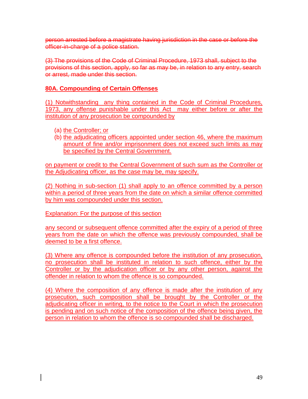person arrested before a magistrate having jurisdiction in the case or before the officer-in-charge of a police station.

(3) The provisions of the Code of Criminal Procedure, 1973 shall, subject to the provisions of this section, apply, so far as may be, in relation to any entry, search or arrest, made under this section.

## **80A. Compounding of Certain Offenses**

(1) Notwithstanding any thing contained in the Code of Criminal Procedures, 1973, any offense punishable under this Act may either before or after the institution of any prosecution be compounded by

(a) the Controller; or

(b) the adjudicating officers appointed under section 46, where the maximum amount of fine and/or imprisonment does not exceed such limits as may be specified by the Central Government.

on payment or credit to the Central Government of such sum as the Controller or the Adjudicating officer, as the case may be, may specify.

(2) Nothing in sub-section (1) shall apply to an offence committed by a person within a period of three years from the date on which a similar offence committed by him was compounded under this section.

Explanation: For the purpose of this section

any second or subsequent offence committed after the expiry of a period of three years from the date on which the offence was previously compounded, shall be deemed to be a first offence.

(3) Where any offence is compounded before the institution of any prosecution, no prosecution shall be instituted in relation to such offence, either by the Controller or by the adjudication officer or by any other person, against the offender in relation to whom the offence is so compounded.

(4) Where the composition of any offence is made after the institution of any prosecution, such composition shall be brought by the Controller or the adjudicating officer in writing, to the notice to the Court in which the prosecution is pending and on such notice of the composition of the offence being given, the person in relation to whom the offence is so compounded shall be discharged.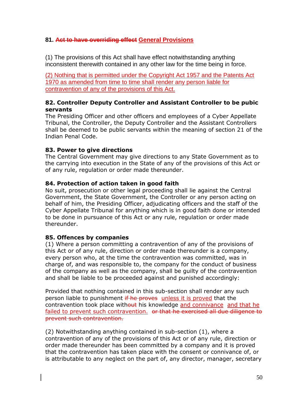## **81. Act to have overriding effect General Provisions**

(1) The provisions of this Act shall have effect notwithstanding anything inconsistent therewith contained in any other law for the time being in force.

(2) Nothing that is permitted under the Copyright Act 1957 and the Patents Act 1970 as amended from time to time shall render any person liable for contravention of any of the provisions of this Act.

## **82. Controller Deputy Controller and Assistant Controller to be pubic servants**

The Presiding Officer and other officers and employees of a Cyber Appellate Tribunal, the Controller, the Deputy Controller and the Assistant Controllers shall be deemed to be public servants within the meaning of section 21 of the Indian Penal Code.

## **83. Power to give directions**

The Central Government may give directions to any State Government as to the carrying into execution in the State of any of the provisions of this Act or of any rule, regulation or order made thereunder.

#### **84. Protection of action taken in good faith**

No suit, prosecution or other legal proceeding shall lie against the Central Government, the State Government, the Controller or any person acting on behalf of him, the Presiding Officer, adjudicating officers and the staff of the Cyber Appellate Tribunal for anything which is in good faith done or intended to be done in pursuance of this Act or any rule, regulation or order made thereunder.

#### **85. Offences by companies**

(1) Where a person committing a contravention of any of the provisions of this Act or of any rule, direction or order made thereunder is a company, every person who, at the time the contravention was committed, was in charge of, and was responsible to, the company for the conduct of business of the company as well as the company, shall be guilty of the contravention and shall be liable to be proceeded against and punished accordingly:

Provided that nothing contained in this sub-section shall render any such person liable to punishment if he proves unless it is proved that the contravention took place without his knowledge and connivance and that he failed to prevent such contravention. or that he exercised all due diligence to prevent such contravention.

(2) Notwithstanding anything contained in sub-section (1), where a contravention of any of the provisions of this Act or of any rule, direction or order made thereunder has been committed by a company and it is proved that the contravention has taken place with the consent or connivance of, or is attributable to any neglect on the part of, any director, manager, secretary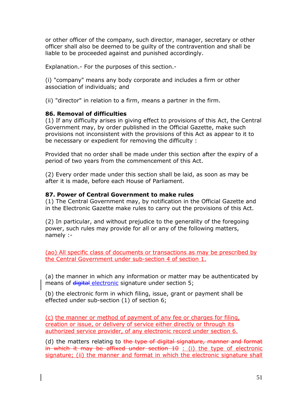or other officer of the company, such director, manager, secretary or other officer shall also be deemed to be guilty of the contravention and shall be liable to be proceeded against and punished accordingly.

Explanation.- For the purposes of this section.-

(i) "company" means any body corporate and includes a firm or other association of individuals; and

(ii) "director" in relation to a firm, means a partner in the firm.

## **86. Removal of difficulties**

(1) If any difficulty arises in giving effect to provisions of this Act, the Central Government may, by order published in the Official Gazette, make such provisions not inconsistent with the provisions of this Act as appear to it to be necessary or expedient for removing the difficulty :

Provided that no order shall be made under this section after the expiry of a period of two years from the commencement of this Act.

(2) Every order made under this section shall be laid, as soon as may be after it is made, before each House of Parliament.

## **87. Power of Central Government to make rules**

(1) The Central Government may, by notification in the Official Gazette and in the Electronic Gazette make rules to carry out the provisions of this Act.

(2) In particular, and without prejudice to the generality of the foregoing power, such rules may provide for all or any of the following matters, namely :-

(ao) All specific class of documents or transactions as may be prescribed by the Central Government under sub-section 4 of section 1.

(a) the manner in which any information or matter may be authenticated by means of digital electronic signature under section 5;

(b) the electronic form in which filing, issue, grant or payment shall be effected under sub-section (1) of section 6;

(c) the manner or method of payment of any fee or charges for filing, creation or issue, or delivery of service either directly or through its authorized service provider, of any electronic record under section 6.

(d) the matters relating to the type of digital signature, manner and format in which it may be affixed under section 10 : (i) the type of electronic signature; (ii) the manner and format in which the electronic signature shall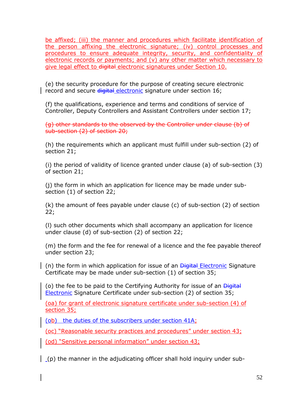be affixed; (iii) the manner and procedures which facilitate identification of the person affixing the electronic signature; (iv) control processes and procedures to ensure adequate integrity, security, and confidentiality of electronic records or payments; and (v) any other matter which necessary to give legal effect to digital electronic signatures under Section 10.

(e) the security procedure for the purpose of creating secure electronic record and secure digital electronic signature under section 16;

(f) the qualifications, experience and terms and conditions of service of Controller, Deputy Controllers and Assistant Controllers under section 17;

(g) other standards to the observed by the Controller under clause (b) of sub-section (2) of section 20;

(h) the requirements which an applicant must fulfill under sub-section (2) of section 21;

(i) the period of validity of licence granted under clause (a) of sub-section (3) of section 21;

(j) the form in which an application for licence may be made under subsection (1) of section 22;

(k) the amount of fees payable under clause (c) of sub-section (2) of section 22;

(l) such other documents which shall accompany an application for licence under clause (d) of sub-section (2) of section 22;

(m) the form and the fee for renewal of a licence and the fee payable thereof under section 23;

(n) the form in which application for issue of an *Digital Electronic* Signature Certificate may be made under sub-section (1) of section 35;

(o) the fee to be paid to the Certifying Authority for issue of an *Digital* Electronic Signature Certificate under sub-section (2) of section 35;

(oa) for grant of electronic signature certificate under sub-section (4) of section 35;

(ob) the duties of the subscribers under section 41A;

(oc) "Reasonable security practices and procedures" under section 43;

(od) "Sensitive personal information" under section 43;

 $\mid$  (p) the manner in the adjudicating officer shall hold inquiry under sub-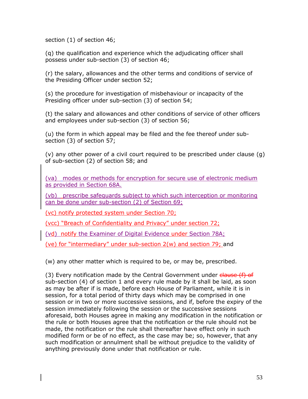section (1) of section 46;

(q) the qualification and experience which the adjudicating officer shall possess under sub-section (3) of section 46;

(r) the salary, allowances and the other terms and conditions of service of the Presiding Officer under section 52;

(s) the procedure for investigation of misbehaviour or incapacity of the Presiding officer under sub-section (3) of section 54;

(t) the salary and allowances and other conditions of service of other officers and employees under sub-section (3) of section 56;

(u) the form in which appeal may be filed and the fee thereof under subsection (3) of section 57;

(v) any other power of a civil court required to be prescribed under clause (g) of sub-section (2) of section 58; and

(va) modes or methods for encryption for secure use of electronic medium as provided in Section 68A.

(vb) prescribe safeguards subject to which such interception or monitoring can be done under sub-section (2) of Section 69;

(vc) notify protected system under Section 70;

(vcc) "Breach of Confidentiality and Privacy" under section 72;

(vd) notify the Examiner of Digital Evidence under Section 78A;

(ve) for "intermediary" under sub-section 2(w) and section 79; and

(w) any other matter which is required to be, or may be, prescribed.

(3) Every notification made by the Central Government under clause (f) of sub-section (4) of section 1 and every rule made by it shall be laid, as soon as may be after if is made, before each House of Parliament, while it is in session, for a total period of thirty days which may be comprised in one session or in two or more successive sessions, and if, before the expiry of the session immediately following the session or the successive sessions aforesaid, both Houses agree in making any modification in the notification or the rule or both Houses agree that the notification or the rule should not be made, the notification or the rule shall thereafter have effect only in such modified form or be of no effect, as the case may be; so, however, that any such modification or annulment shall be without prejudice to the validity of anything previously done under that notification or rule.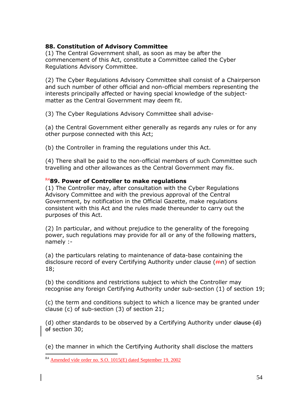## **88. Constitution of Advisory Committee**

(1) The Central Government shall, as soon as may be after the commencement of this Act, constitute a Committee called the Cyber Regulations Advisory Committee.

(2) The Cyber Regulations Advisory Committee shall consist of a Chairperson and such number of other official and non-official members representing the interests principally affected or having special knowledge of the subjectmatter as the Central Government may deem fit.

(3) The Cyber Regulations Advisory Committee shall advise-

(a) the Central Government either generally as regards any rules or for any other purpose connected with this Act;

(b) the Controller in framing the regulations under this Act.

(4) There shall be paid to the non-official members of such Committee such travelling and other allowances as the Central Government may fix.

## R4**89. Power of Controller to make regulations**

(1) The Controller may, after consultation with the Cyber Regulations Advisory Committee and with the previous approval of the Central Government, by notification in the Official Gazette, make regulations consistent with this Act and the rules made thereunder to carry out the purposes of this Act.

(2) In particular, and without prejudice to the generality of the foregoing power, such regulations may provide for all or any of the following matters, namely :-

(a) the particulars relating to maintenance of data-base containing the disclosure record of every Certifying Authority under clause (mn) of section 18;

(b) the conditions and restrictions subject to which the Controller may recognise any foreign Certifying Authority under sub-section (1) of section 19;

(c) the term and conditions subject to which a licence may be granted under clause (c) of sub-section (3) of section 21;

(d) other standards to be observed by a Certifying Authority under  $eta$ of section 30;

(e) the manner in which the Certifying Authority shall disclose the matters

<sup>&</sup>lt;sup>R4</sup> Amended vide order no. S.O. 1015(E) dated September 19, 2002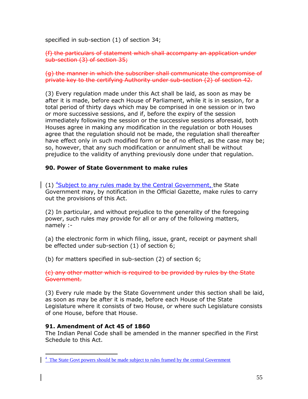specified in sub-section (1) of section 34;

(f) the particulars of statement which shall accompany an application under sub-section (3) of section 35;

(g) the manner in which the subscriber shall communicate the compromise of private key to the certifying Authority under sub-section (2) of section 42.

(3) Every regulation made under this Act shall be laid, as soon as may be after it is made, before each House of Parliament, while it is in session, for a total period of thirty days which may be comprised in one session or in two or more successive sessions, and if, before the expiry of the session immediately following the session or the successive sessions aforesaid, both Houses agree in making any modification in the regulation or both Houses agree that the regulation should not be made, the regulation shall thereafter have effect only in such modified form or be of no effect, as the case may be; so, however, that any such modification or annulment shall be without prejudice to the validity of anything previously done under that regulation.

## **90. Power of State Government to make rules**

(1) <sup>4</sup>Subject to any rules made by the Central Government, the State Government may, by notification in the Official Gazette, make rules to carry out the provisions of this Act.

(2) In particular, and without prejudice to the generality of the foregoing power, such rules may provide for all or any of the following matters, namely :-

(a) the electronic form in which filing, issue, grant, receipt or payment shall be effected under sub-section (1) of section 6;

(b) for matters specified in sub-section (2) of section 6;

(c) any other matter which is required to be provided by rules by the State Government.

(3) Every rule made by the State Government under this section shall be laid, as soon as may be after it is made, before each House of the State Legislature where it consists of two House, or where such Legislature consists of one House, before that House.

## **91. Amendment of Act 45 of 1860**

 $\overline{a}$ 

The Indian Penal Code shall be amended in the manner specified in the First Schedule to this Act.

<sup>&</sup>lt;sup>4</sup> The State Govt powers should be made subject to rules framed by the central Government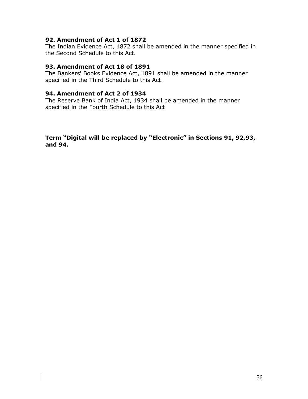## **92. Amendment of Act 1 of 1872**

The Indian Evidence Act, 1872 shall be amended in the manner specified in the Second Schedule to this Act.

## **93. Amendment of Act 18 of 1891**

The Bankers' Books Evidence Act, 1891 shall be amended in the manner specified in the Third Schedule to this Act.

#### **94. Amendment of Act 2 of 1934**

The Reserve Bank of India Act, 1934 shall be amended in the manner specified in the Fourth Schedule to this Act

## **Term "Digital will be replaced by "Electronic" in Sections 91, 92,93, and 94.**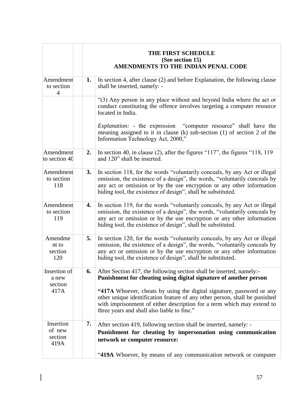|                                          |    | <b>THE FIRST SCHEDULE</b><br>(See section 15)<br>AMENDMENTS TO THE INDIAN PENAL CODE                                                                                                                                                                                                                                                                                                                                            |
|------------------------------------------|----|---------------------------------------------------------------------------------------------------------------------------------------------------------------------------------------------------------------------------------------------------------------------------------------------------------------------------------------------------------------------------------------------------------------------------------|
| Amendment<br>to section<br>4             | 1. | In section 4, after clause (2) and before Explanation, the following clause<br>shall be inserted, namely: -                                                                                                                                                                                                                                                                                                                     |
|                                          |    | "(3) Any person in any place without and beyond India where the act or<br>conduct constituting the offence involves targeting a computer resource<br>located in India.                                                                                                                                                                                                                                                          |
|                                          |    | <i>Explanation:</i> - the expression "computer resource" shall have the<br>meaning assigned to it in clause $(k)$ sub-section $(1)$ of section 2 of the<br>Information Technology Act, 2000,"                                                                                                                                                                                                                                   |
| Amendment<br>to section 40               | 2. | In section 40, in clause $(2)$ , after the figures "117", the figures "118, 119<br>and 120" shall be inserted.                                                                                                                                                                                                                                                                                                                  |
| Amendment<br>to section<br>118           | 3. | In section 118, for the words "voluntarily conceals, by any Act or illegal<br>omission, the existence of a design", the words, "voluntarily conceals by<br>any act or omission or by the use encryption or any other information<br>hiding tool, the existence of design", shall be substituted.                                                                                                                                |
| Amendment<br>to section<br>119           | 4. | In section 119, for the words "voluntarily conceals, by any Act or illegal<br>omission, the existence of a design", the words, "voluntarily conceals by<br>any act or omission or by the use encryption or any other information<br>hiding tool, the existence of design", shall be substituted.                                                                                                                                |
| Amendme<br>nt to<br>section<br>120       | 5. | In section 120, for the words "voluntarily conceals, by any Act or illegal<br>omission, the existence of a design", the words, "voluntarily conceals by<br>any act or omission or by the use encryption or any other information<br>hiding tool, the existence of design", shall be substituted.                                                                                                                                |
| Insertion of<br>a new<br>section<br>417A |    | After Section 417, the following section shall be inserted, namely:-<br>6.<br>Punishment for cheating using digital signature of another person<br>"417A Whoever, cheats by using the digital signature, password or any<br>other unique identification feature of any other person, shall be punished<br>with imprisonment of either description for a term which may extend to<br>three years and shall also liable to fine." |
| Insertion<br>of new<br>section<br>419A   | 7. | After section 419, following section shall be inserted, namely: -<br>Punishment for cheating by impersonation using communication<br>network or computer resource:<br>"419A Whoever, by means of any communication network or computer                                                                                                                                                                                          |